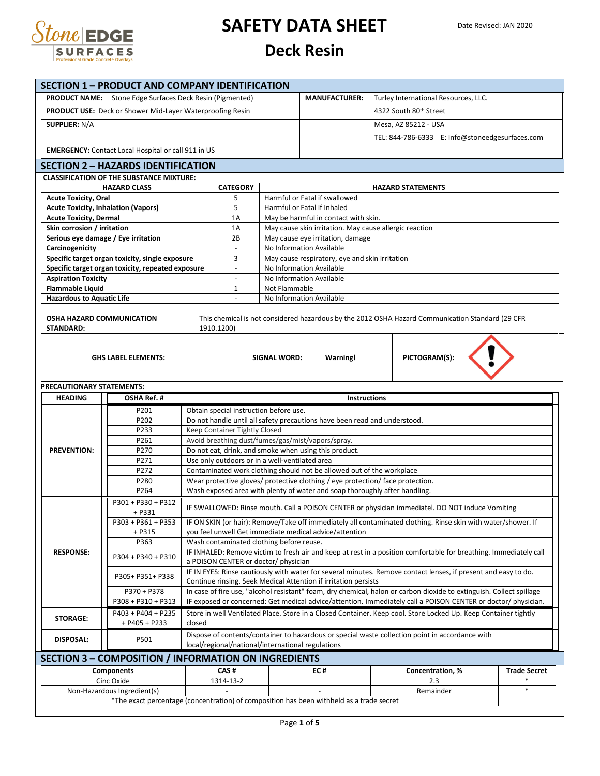

# **SAFETY DATA SHEET**

#### **Deck Resin**

| <b>SECTION 1 - PRODUCT AND COMPANY IDENTIFICATION</b><br><b>PRODUCT NAME:</b> Stone Edge Surfaces Deck Resin (Pigmented)                          |                                                                                                                      |                                                                                                                                                        |                                                                                 |                     | <b>MANUFACTURER:</b>                                                           | Turley International Resources, LLC.                                                                          |                     |  |
|---------------------------------------------------------------------------------------------------------------------------------------------------|----------------------------------------------------------------------------------------------------------------------|--------------------------------------------------------------------------------------------------------------------------------------------------------|---------------------------------------------------------------------------------|---------------------|--------------------------------------------------------------------------------|---------------------------------------------------------------------------------------------------------------|---------------------|--|
| <b>PRODUCT USE:</b> Deck or Shower Mid-Layer Waterproofing Resin                                                                                  |                                                                                                                      |                                                                                                                                                        |                                                                                 |                     |                                                                                |                                                                                                               |                     |  |
|                                                                                                                                                   |                                                                                                                      |                                                                                                                                                        |                                                                                 |                     | 4322 South 80th Street                                                         |                                                                                                               |                     |  |
|                                                                                                                                                   | <b>SUPPLIER: N/A</b>                                                                                                 |                                                                                                                                                        |                                                                                 |                     |                                                                                | Mesa, AZ 85212 - USA                                                                                          |                     |  |
|                                                                                                                                                   |                                                                                                                      |                                                                                                                                                        |                                                                                 |                     |                                                                                | TEL: 844-786-6333 E: info@stoneedgesurfaces.com                                                               |                     |  |
| <b>EMERGENCY:</b> Contact Local Hospital or call 911 in US                                                                                        |                                                                                                                      |                                                                                                                                                        |                                                                                 |                     |                                                                                |                                                                                                               |                     |  |
|                                                                                                                                                   | <b>SECTION 2 - HAZARDS IDENTIFICATION</b>                                                                            |                                                                                                                                                        |                                                                                 |                     |                                                                                |                                                                                                               |                     |  |
|                                                                                                                                                   | <b>CLASSIFICATION OF THE SUBSTANCE MIXTURE:</b>                                                                      |                                                                                                                                                        |                                                                                 |                     |                                                                                |                                                                                                               |                     |  |
|                                                                                                                                                   | <b>HAZARD CLASS</b>                                                                                                  |                                                                                                                                                        | <b>CATEGORY</b>                                                                 |                     |                                                                                | <b>HAZARD STATEMENTS</b>                                                                                      |                     |  |
| <b>Acute Toxicity, Oral</b><br>5                                                                                                                  |                                                                                                                      |                                                                                                                                                        |                                                                                 |                     | Harmful or Fatal if swallowed                                                  |                                                                                                               |                     |  |
| <b>Acute Toxicity, Inhalation (Vapors)</b><br>5                                                                                                   |                                                                                                                      |                                                                                                                                                        |                                                                                 |                     | Harmful or Fatal if Inhaled                                                    |                                                                                                               |                     |  |
| <b>Acute Toxicity, Dermal</b>                                                                                                                     |                                                                                                                      |                                                                                                                                                        | 1A                                                                              |                     | May be harmful in contact with skin.                                           |                                                                                                               |                     |  |
| Skin corrosion / irritation                                                                                                                       |                                                                                                                      |                                                                                                                                                        | 1A                                                                              |                     | May cause skin irritation. May cause allergic reaction                         |                                                                                                               |                     |  |
| Serious eye damage / Eye irritation                                                                                                               |                                                                                                                      |                                                                                                                                                        | 2B                                                                              |                     | May cause eye irritation, damage                                               |                                                                                                               |                     |  |
| Carcinogenicity                                                                                                                                   |                                                                                                                      |                                                                                                                                                        |                                                                                 |                     | No Information Available                                                       |                                                                                                               |                     |  |
|                                                                                                                                                   | Specific target organ toxicity, single exposure<br>Specific target organ toxicity, repeated exposure                 |                                                                                                                                                        | May cause respiratory, eye and skin irritation<br>3<br>No Information Available |                     |                                                                                |                                                                                                               |                     |  |
| <b>Aspiration Toxicity</b>                                                                                                                        |                                                                                                                      |                                                                                                                                                        | $\overline{\phantom{a}}$                                                        |                     | No Information Available                                                       |                                                                                                               |                     |  |
| <b>Flammable Liquid</b>                                                                                                                           |                                                                                                                      |                                                                                                                                                        | 1                                                                               | Not Flammable       |                                                                                |                                                                                                               |                     |  |
| <b>Hazardous to Aquatic Life</b>                                                                                                                  |                                                                                                                      |                                                                                                                                                        |                                                                                 |                     | No Information Available                                                       |                                                                                                               |                     |  |
|                                                                                                                                                   |                                                                                                                      |                                                                                                                                                        |                                                                                 |                     |                                                                                |                                                                                                               |                     |  |
| <b>OSHA HAZARD COMMUNICATION</b>                                                                                                                  |                                                                                                                      |                                                                                                                                                        |                                                                                 |                     |                                                                                | This chemical is not considered hazardous by the 2012 OSHA Hazard Communication Standard (29 CFR              |                     |  |
| <b>STANDARD:</b>                                                                                                                                  |                                                                                                                      |                                                                                                                                                        | 1910.1200)                                                                      |                     |                                                                                |                                                                                                               |                     |  |
|                                                                                                                                                   |                                                                                                                      |                                                                                                                                                        |                                                                                 |                     |                                                                                |                                                                                                               |                     |  |
|                                                                                                                                                   | <b>GHS LABEL ELEMENTS:</b>                                                                                           |                                                                                                                                                        |                                                                                 | <b>SIGNAL WORD:</b> | Warning!                                                                       | PICTOGRAM(S):                                                                                                 |                     |  |
|                                                                                                                                                   |                                                                                                                      |                                                                                                                                                        |                                                                                 |                     |                                                                                |                                                                                                               |                     |  |
|                                                                                                                                                   |                                                                                                                      |                                                                                                                                                        |                                                                                 |                     |                                                                                |                                                                                                               |                     |  |
| PRECAUTIONARY STATEMENTS:                                                                                                                         |                                                                                                                      |                                                                                                                                                        |                                                                                 |                     |                                                                                |                                                                                                               |                     |  |
| <b>HEADING</b>                                                                                                                                    | OSHA Ref. #                                                                                                          |                                                                                                                                                        |                                                                                 |                     | <b>Instructions</b>                                                            |                                                                                                               |                     |  |
|                                                                                                                                                   | P201                                                                                                                 |                                                                                                                                                        | Obtain special instruction before use.                                          |                     |                                                                                |                                                                                                               |                     |  |
|                                                                                                                                                   | P202                                                                                                                 |                                                                                                                                                        |                                                                                 |                     | Do not handle until all safety precautions have been read and understood.      |                                                                                                               |                     |  |
|                                                                                                                                                   | P233                                                                                                                 |                                                                                                                                                        | Keep Container Tightly Closed                                                   |                     |                                                                                |                                                                                                               |                     |  |
|                                                                                                                                                   | P261                                                                                                                 |                                                                                                                                                        |                                                                                 |                     | Avoid breathing dust/fumes/gas/mist/vapors/spray.                              |                                                                                                               |                     |  |
| <b>PREVENTION:</b>                                                                                                                                | P270<br>P271                                                                                                         |                                                                                                                                                        | Use only outdoors or in a well-ventilated area                                  |                     | Do not eat, drink, and smoke when using this product.                          |                                                                                                               |                     |  |
|                                                                                                                                                   | P272                                                                                                                 |                                                                                                                                                        |                                                                                 |                     | Contaminated work clothing should not be allowed out of the workplace          |                                                                                                               |                     |  |
|                                                                                                                                                   | P280                                                                                                                 |                                                                                                                                                        |                                                                                 |                     | Wear protective gloves/ protective clothing / eye protection/ face protection. |                                                                                                               |                     |  |
|                                                                                                                                                   | P264                                                                                                                 |                                                                                                                                                        |                                                                                 |                     | Wash exposed area with plenty of water and soap thoroughly after handling.     |                                                                                                               |                     |  |
|                                                                                                                                                   | P301 + P330 + P312                                                                                                   |                                                                                                                                                        |                                                                                 |                     |                                                                                |                                                                                                               |                     |  |
|                                                                                                                                                   | + P331                                                                                                               |                                                                                                                                                        |                                                                                 |                     |                                                                                | IF SWALLOWED: Rinse mouth. Call a POISON CENTER or physician immediatel. DO NOT induce Vomiting               |                     |  |
|                                                                                                                                                   | P303 + P361 + P353                                                                                                   |                                                                                                                                                        |                                                                                 |                     |                                                                                | IF ON SKIN (or hair): Remove/Take off immediately all contaminated clothing. Rinse skin with water/shower. If |                     |  |
|                                                                                                                                                   | + P315                                                                                                               |                                                                                                                                                        |                                                                                 |                     | you feel unwell Get immediate medical advice/attention                         |                                                                                                               |                     |  |
|                                                                                                                                                   | P363                                                                                                                 |                                                                                                                                                        | Wash contaminated clothing before reuse.                                        |                     |                                                                                |                                                                                                               |                     |  |
| <b>RESPONSE:</b>                                                                                                                                  | P304 + P340 + P310                                                                                                   | IF INHALED: Remove victim to fresh air and keep at rest in a position comfortable for breathing. Immediately call                                      |                                                                                 |                     |                                                                                |                                                                                                               |                     |  |
|                                                                                                                                                   |                                                                                                                      | a POISON CENTER or doctor/ physician<br>IF IN EYES: Rinse cautiously with water for several minutes. Remove contact lenses, if present and easy to do. |                                                                                 |                     |                                                                                |                                                                                                               |                     |  |
|                                                                                                                                                   | P305+ P351+ P338                                                                                                     | Continue rinsing. Seek Medical Attention if irritation persists                                                                                        |                                                                                 |                     |                                                                                |                                                                                                               |                     |  |
|                                                                                                                                                   | In case of fire use, "alcohol resistant" foam, dry chemical, halon or carbon dioxide to extinguish. Collect spillage |                                                                                                                                                        |                                                                                 |                     |                                                                                |                                                                                                               |                     |  |
| P370 + P378<br>IF exposed or concerned: Get medical advice/attention. Immediately call a POISON CENTER or doctor/physician.<br>P308 + P310 + P313 |                                                                                                                      |                                                                                                                                                        |                                                                                 |                     |                                                                                |                                                                                                               |                     |  |
| Store in well Ventilated Place. Store in a Closed Container. Keep cool. Store Locked Up. Keep Container tightly<br>P403 + P404 + P235             |                                                                                                                      |                                                                                                                                                        |                                                                                 |                     |                                                                                |                                                                                                               |                     |  |
| <b>STORAGE:</b><br>$+$ P405 + P233<br>closed                                                                                                      |                                                                                                                      |                                                                                                                                                        |                                                                                 |                     |                                                                                |                                                                                                               |                     |  |
| <b>DISPOSAL:</b>                                                                                                                                  | P501                                                                                                                 |                                                                                                                                                        |                                                                                 |                     |                                                                                | Dispose of contents/container to hazardous or special waste collection point in accordance with               |                     |  |
|                                                                                                                                                   |                                                                                                                      |                                                                                                                                                        | local/regional/national/international regulations                               |                     |                                                                                |                                                                                                               |                     |  |
|                                                                                                                                                   | SECTION 3 - COMPOSITION / INFORMATION ON INGREDIENTS                                                                 |                                                                                                                                                        |                                                                                 |                     |                                                                                |                                                                                                               |                     |  |
|                                                                                                                                                   | <b>Components</b>                                                                                                    |                                                                                                                                                        | CAS#                                                                            |                     | EC#                                                                            | Concentration, %                                                                                              | <b>Trade Secret</b> |  |
|                                                                                                                                                   | Cinc Oxide                                                                                                           |                                                                                                                                                        | 1314-13-2                                                                       |                     |                                                                                | 2.3                                                                                                           |                     |  |
|                                                                                                                                                   | Non-Hazardous Ingredient(s)                                                                                          |                                                                                                                                                        |                                                                                 |                     | $\overline{a}$                                                                 | Remainder                                                                                                     | $\ast$              |  |
|                                                                                                                                                   | *The exact percentage (concentration) of composition has been withheld as a trade secret                             |                                                                                                                                                        |                                                                                 |                     |                                                                                |                                                                                                               |                     |  |
|                                                                                                                                                   |                                                                                                                      |                                                                                                                                                        |                                                                                 |                     |                                                                                |                                                                                                               |                     |  |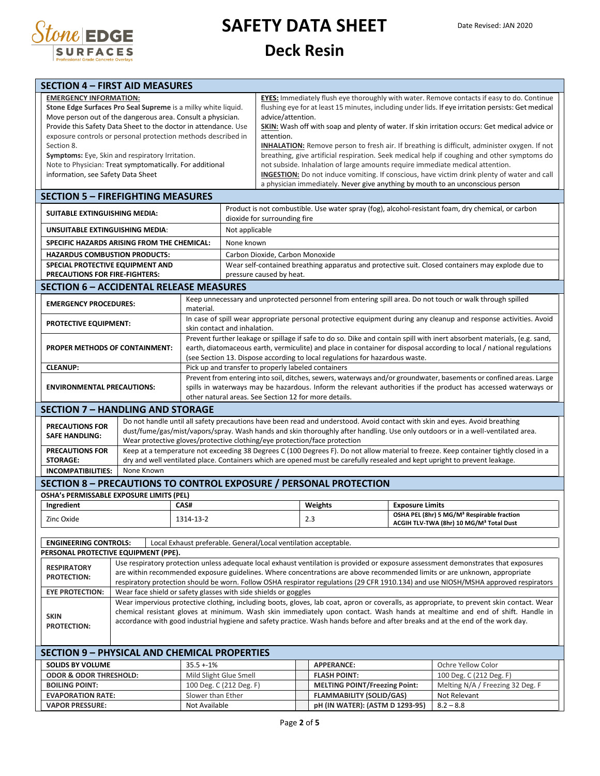

# **SAFETY DATA SHEET**

#### **Deck Resin**

| <b>EMERGENCY INFORMATION:</b><br><b>EYES:</b> Immediately flush eye thoroughly with water. Remove contacts if easy to do. Continue<br>Stone Edge Surfaces Pro Seal Supreme is a milky white liquid.<br>flushing eye for at least 15 minutes, including under lids. If eye irritation persists: Get medical<br>Move person out of the dangerous area. Consult a physician.<br>advice/attention.<br>Provide this Safety Data Sheet to the doctor in attendance. Use<br>SKIN: Wash off with soap and plenty of water. If skin irritation occurs: Get medical advice or<br>exposure controls or personal protection methods described in<br>attention.<br>Section 8.<br><b>INHALATION:</b> Remove person to fresh air. If breathing is difficult, administer oxygen. If not<br>Symptoms: Eye, Skin and respiratory Irritation.<br>breathing, give artificial respiration. Seek medical help if coughing and other symptoms do<br>Note to Physician: Treat symptomatically. For additional<br>not subside. Inhalation of large amounts require immediate medical attention.<br>information, see Safety Data Sheet<br><b>INGESTION:</b> Do not induce vomiting. If conscious, have victim drink plenty of water and call<br>a physician immediately. Never give anything by mouth to an unconscious person<br><b>SECTION 5 - FIREFIGHTING MEASURES</b><br>Product is not combustible. Use water spray (fog), alcohol-resistant foam, dry chemical, or carbon<br>SUITABLE EXTINGUISHING MEDIA:<br>dioxide for surrounding fire<br>Not applicable<br>UNSUITABLE EXTINGUISHING MEDIA:<br>SPECIFIC HAZARDS ARISING FROM THE CHEMICAL:<br>None known<br><b>HAZARDUS COMBUSTION PRODUCTS:</b><br>Carbon Dioxide, Carbon Monoxide<br>SPECIAL PROTECTIVE EQUIPMENT AND<br>Wear self-contained breathing apparatus and protective suit. Closed containers may explode due to<br>PRECAUTIONS FOR FIRE-FIGHTERS:<br>pressure caused by heat.<br><b>SECTION 6 - ACCIDENTAL RELEASE MEASURES</b><br>Keep unnecessary and unprotected personnel from entering spill area. Do not touch or walk through spilled<br><b>EMERGENCY PROCEDURES:</b><br>material.<br>In case of spill wear appropriate personal protective equipment during any cleanup and response activities. Avoid<br><b>PROTECTIVE EQUIPMENT:</b><br>skin contact and inhalation.<br>Prevent further leakage or spillage if safe to do so. Dike and contain spill with inert absorbent materials, (e.g. sand,<br>earth, diatomaceous earth, vermiculite) and place in container for disposal according to local / national regulations<br><b>PROPER METHODS OF CONTAINMENT:</b><br>(see Section 13. Dispose according to local regulations for hazardous waste.<br><b>CLEANUP:</b><br>Pick up and transfer to properly labeled containers<br>Prevent from entering into soil, ditches, sewers, waterways and/or groundwater, basements or confined areas. Large<br>spills in waterways may be hazardous. Inform the relevant authorities if the product has accessed waterways or<br><b>ENVIRONMENTAL PRECAUTIONS:</b><br>other natural areas. See Section 12 for more details.<br><b>SECTION 7 - HANDLING AND STORAGE</b><br>Do not handle until all safety precautions have been read and understood. Avoid contact with skin and eyes. Avoid breathing<br><b>PRECAUTIONS FOR</b><br>dust/fume/gas/mist/vapors/spray. Wash hands and skin thoroughly after handling. Use only outdoors or in a well-ventilated area.<br><b>SAFE HANDLING:</b><br>Wear protective gloves/protective clothing/eye protection/face protection<br>Keep at a temperature not exceeding 38 Degrees C (100 Degrees F). Do not allow material to freeze. Keep container tightly closed in a<br><b>PRECAUTIONS FOR</b><br><b>STORAGE:</b><br>dry and well ventilated place. Containers which are opened must be carefully resealed and kept upright to prevent leakage.<br>None Known<br><b>INCOMPATIBILITIES:</b><br><b>SECTION 8 - PRECAUTIONS TO CONTROL EXPOSURE / PERSONAL PROTECTION</b><br>OSHA's PERMISSABLE EXPOSURE LIMITS (PEL)<br><b>Exposure Limits</b><br>Ingredient<br>CAS#<br>Weights<br>OSHA PEL (8hr) 5 MG/M <sup>3</sup> Respirable fraction<br>2.3<br>Zinc Oxide<br>1314-13-2<br>ACGIH TLV-TWA (8hr) 10 MG/M <sup>3</sup> Total Dust<br><b>ENGINEERING CONTROLS:</b><br>Local Exhaust preferable. General/Local ventilation acceptable.<br>PERSONAL PROTECTIVE EQUIPMENT (PPE).<br>Use respiratory protection unless adequate local exhaust ventilation is provided or exposure assessment demonstrates that exposures<br><b>RESPIRATORY</b><br>are within recommended exposure guidelines. Where concentrations are above recommended limits or are unknown, appropriate<br><b>PROTECTION:</b><br>respiratory protection should be worn. Follow OSHA respirator regulations (29 CFR 1910.134) and use NIOSH/MSHA approved respirators<br>Wear face shield or safety glasses with side shields or goggles<br><b>EYE PROTECTION:</b><br>Wear impervious protective clothing, including boots, gloves, lab coat, apron or coveralls, as appropriate, to prevent skin contact. Wear<br>chemical resistant gloves at minimum. Wash skin immediately upon contact. Wash hands at mealtime and end of shift. Handle in<br><b>SKIN</b><br>accordance with good industrial hygiene and safety practice. Wash hands before and after breaks and at the end of the work day.<br><b>PROTECTION:</b><br><b>SECTION 9 - PHYSICAL AND CHEMICAL PROPERTIES</b><br><b>SOLIDS BY VOLUME</b><br>$35.5 + 1\%$<br>Ochre Yellow Color<br><b>APPERANCE:</b><br><b>ODOR &amp; ODOR THRESHOLD:</b><br>Mild Slight Glue Smell<br><b>FLASH POINT:</b><br>100 Deg. C (212 Deg. F)<br><b>MELTING POINT/Freezing Point:</b><br>Melting N/A / Freezing 32 Deg. F<br><b>BOILING POINT:</b><br>100 Deg. C (212 Deg. F)<br><b>FLAMMABILITY (SOLID/GAS)</b><br><b>EVAPORATION RATE:</b><br>Slower than Ether<br>Not Relevant<br><b>VAPOR PRESSURE:</b><br>Not Available<br>pH (IN WATER): (ASTM D 1293-95)<br>$8.2 - 8.8$ | <b>SECTION 4 - FIRST AID MEASURES</b> |  |  |  |  |  |  |  |  |
|---------------------------------------------------------------------------------------------------------------------------------------------------------------------------------------------------------------------------------------------------------------------------------------------------------------------------------------------------------------------------------------------------------------------------------------------------------------------------------------------------------------------------------------------------------------------------------------------------------------------------------------------------------------------------------------------------------------------------------------------------------------------------------------------------------------------------------------------------------------------------------------------------------------------------------------------------------------------------------------------------------------------------------------------------------------------------------------------------------------------------------------------------------------------------------------------------------------------------------------------------------------------------------------------------------------------------------------------------------------------------------------------------------------------------------------------------------------------------------------------------------------------------------------------------------------------------------------------------------------------------------------------------------------------------------------------------------------------------------------------------------------------------------------------------------------------------------------------------------------------------------------------------------------------------------------------------------------------------------------------------------------------------------------------------------------------------------------------------------------------------------------------------------------------------------------------------------------------------------------------------------------------------------------------------------------------------------------------------------------------------------------------------------------------------------------------------------------------------------------------------------------------------------------------------------------------------------------------------------------------------------------------------------------------------------------------------------------------------------------------------------------------------------------------------------------------------------------------------------------------------------------------------------------------------------------------------------------------------------------------------------------------------------------------------------------------------------------------------------------------------------------------------------------------------------------------------------------------------------------------------------------------------------------------------------------------------------------------------------------------------------------------------------------------------------------------------------------------------------------------------------------------------------------------------------------------------------------------------------------------------------------------------------------------------------------------------------------------------------------------------------------------------------------------------------------------------------------------------------------------------------------------------------------------------------------------------------------------------------------------------------------------------------------------------------------------------------------------------------------------------------------------------------------------------------------------------------------------------------------------------------------------------------------------------------------------------------------------------------------------------------------------------------------------------------------------------------------------------------------------------------------------------------------------------------------------------------------------------------------------------------------------------------------------------------------------------------------------------------------------------------------------------------------------------------------------------------------------------------------------------------------------------------------------------------------------------------------------------------------------------------------------------------------------------------------------------------------------------------------------------------------------------------------------------------------------------------------------------------------------------------------------------------------------------------------------------------------------------------------------------------------------------------------------------------------------------------------------------------------------------------------------------------------------------------------------------------------------------------------------------------------------------------------------------------------------------------------------------------------------------------------------------------------------------------------------------------------------------------------------------------------------------------------------------------------------------------------------------------------------------------------------------------|---------------------------------------|--|--|--|--|--|--|--|--|
|                                                                                                                                                                                                                                                                                                                                                                                                                                                                                                                                                                                                                                                                                                                                                                                                                                                                                                                                                                                                                                                                                                                                                                                                                                                                                                                                                                                                                                                                                                                                                                                                                                                                                                                                                                                                                                                                                                                                                                                                                                                                                                                                                                                                                                                                                                                                                                                                                                                                                                                                                                                                                                                                                                                                                                                                                                                                                                                                                                                                                                                                                                                                                                                                                                                                                                                                                                                                                                                                                                                                                                                                                                                                                                                                                                                                                                                                                                                                                                                                                                                                                                                                                                                                                                                                                                                                                                                                                                                                                                                                                                                                                                                                                                                                                                                                                                                                                                                                                                                                                                                                                                                                                                                                                                                                                                                                                                                                                                                                                                                                                                                                                                                                                                                                                                                                                                                                                                                                                                                                                                 |                                       |  |  |  |  |  |  |  |  |
|                                                                                                                                                                                                                                                                                                                                                                                                                                                                                                                                                                                                                                                                                                                                                                                                                                                                                                                                                                                                                                                                                                                                                                                                                                                                                                                                                                                                                                                                                                                                                                                                                                                                                                                                                                                                                                                                                                                                                                                                                                                                                                                                                                                                                                                                                                                                                                                                                                                                                                                                                                                                                                                                                                                                                                                                                                                                                                                                                                                                                                                                                                                                                                                                                                                                                                                                                                                                                                                                                                                                                                                                                                                                                                                                                                                                                                                                                                                                                                                                                                                                                                                                                                                                                                                                                                                                                                                                                                                                                                                                                                                                                                                                                                                                                                                                                                                                                                                                                                                                                                                                                                                                                                                                                                                                                                                                                                                                                                                                                                                                                                                                                                                                                                                                                                                                                                                                                                                                                                                                                                 |                                       |  |  |  |  |  |  |  |  |
|                                                                                                                                                                                                                                                                                                                                                                                                                                                                                                                                                                                                                                                                                                                                                                                                                                                                                                                                                                                                                                                                                                                                                                                                                                                                                                                                                                                                                                                                                                                                                                                                                                                                                                                                                                                                                                                                                                                                                                                                                                                                                                                                                                                                                                                                                                                                                                                                                                                                                                                                                                                                                                                                                                                                                                                                                                                                                                                                                                                                                                                                                                                                                                                                                                                                                                                                                                                                                                                                                                                                                                                                                                                                                                                                                                                                                                                                                                                                                                                                                                                                                                                                                                                                                                                                                                                                                                                                                                                                                                                                                                                                                                                                                                                                                                                                                                                                                                                                                                                                                                                                                                                                                                                                                                                                                                                                                                                                                                                                                                                                                                                                                                                                                                                                                                                                                                                                                                                                                                                                                                 |                                       |  |  |  |  |  |  |  |  |
|                                                                                                                                                                                                                                                                                                                                                                                                                                                                                                                                                                                                                                                                                                                                                                                                                                                                                                                                                                                                                                                                                                                                                                                                                                                                                                                                                                                                                                                                                                                                                                                                                                                                                                                                                                                                                                                                                                                                                                                                                                                                                                                                                                                                                                                                                                                                                                                                                                                                                                                                                                                                                                                                                                                                                                                                                                                                                                                                                                                                                                                                                                                                                                                                                                                                                                                                                                                                                                                                                                                                                                                                                                                                                                                                                                                                                                                                                                                                                                                                                                                                                                                                                                                                                                                                                                                                                                                                                                                                                                                                                                                                                                                                                                                                                                                                                                                                                                                                                                                                                                                                                                                                                                                                                                                                                                                                                                                                                                                                                                                                                                                                                                                                                                                                                                                                                                                                                                                                                                                                                                 |                                       |  |  |  |  |  |  |  |  |
|                                                                                                                                                                                                                                                                                                                                                                                                                                                                                                                                                                                                                                                                                                                                                                                                                                                                                                                                                                                                                                                                                                                                                                                                                                                                                                                                                                                                                                                                                                                                                                                                                                                                                                                                                                                                                                                                                                                                                                                                                                                                                                                                                                                                                                                                                                                                                                                                                                                                                                                                                                                                                                                                                                                                                                                                                                                                                                                                                                                                                                                                                                                                                                                                                                                                                                                                                                                                                                                                                                                                                                                                                                                                                                                                                                                                                                                                                                                                                                                                                                                                                                                                                                                                                                                                                                                                                                                                                                                                                                                                                                                                                                                                                                                                                                                                                                                                                                                                                                                                                                                                                                                                                                                                                                                                                                                                                                                                                                                                                                                                                                                                                                                                                                                                                                                                                                                                                                                                                                                                                                 |                                       |  |  |  |  |  |  |  |  |
|                                                                                                                                                                                                                                                                                                                                                                                                                                                                                                                                                                                                                                                                                                                                                                                                                                                                                                                                                                                                                                                                                                                                                                                                                                                                                                                                                                                                                                                                                                                                                                                                                                                                                                                                                                                                                                                                                                                                                                                                                                                                                                                                                                                                                                                                                                                                                                                                                                                                                                                                                                                                                                                                                                                                                                                                                                                                                                                                                                                                                                                                                                                                                                                                                                                                                                                                                                                                                                                                                                                                                                                                                                                                                                                                                                                                                                                                                                                                                                                                                                                                                                                                                                                                                                                                                                                                                                                                                                                                                                                                                                                                                                                                                                                                                                                                                                                                                                                                                                                                                                                                                                                                                                                                                                                                                                                                                                                                                                                                                                                                                                                                                                                                                                                                                                                                                                                                                                                                                                                                                                 |                                       |  |  |  |  |  |  |  |  |
|                                                                                                                                                                                                                                                                                                                                                                                                                                                                                                                                                                                                                                                                                                                                                                                                                                                                                                                                                                                                                                                                                                                                                                                                                                                                                                                                                                                                                                                                                                                                                                                                                                                                                                                                                                                                                                                                                                                                                                                                                                                                                                                                                                                                                                                                                                                                                                                                                                                                                                                                                                                                                                                                                                                                                                                                                                                                                                                                                                                                                                                                                                                                                                                                                                                                                                                                                                                                                                                                                                                                                                                                                                                                                                                                                                                                                                                                                                                                                                                                                                                                                                                                                                                                                                                                                                                                                                                                                                                                                                                                                                                                                                                                                                                                                                                                                                                                                                                                                                                                                                                                                                                                                                                                                                                                                                                                                                                                                                                                                                                                                                                                                                                                                                                                                                                                                                                                                                                                                                                                                                 |                                       |  |  |  |  |  |  |  |  |
|                                                                                                                                                                                                                                                                                                                                                                                                                                                                                                                                                                                                                                                                                                                                                                                                                                                                                                                                                                                                                                                                                                                                                                                                                                                                                                                                                                                                                                                                                                                                                                                                                                                                                                                                                                                                                                                                                                                                                                                                                                                                                                                                                                                                                                                                                                                                                                                                                                                                                                                                                                                                                                                                                                                                                                                                                                                                                                                                                                                                                                                                                                                                                                                                                                                                                                                                                                                                                                                                                                                                                                                                                                                                                                                                                                                                                                                                                                                                                                                                                                                                                                                                                                                                                                                                                                                                                                                                                                                                                                                                                                                                                                                                                                                                                                                                                                                                                                                                                                                                                                                                                                                                                                                                                                                                                                                                                                                                                                                                                                                                                                                                                                                                                                                                                                                                                                                                                                                                                                                                                                 |                                       |  |  |  |  |  |  |  |  |
|                                                                                                                                                                                                                                                                                                                                                                                                                                                                                                                                                                                                                                                                                                                                                                                                                                                                                                                                                                                                                                                                                                                                                                                                                                                                                                                                                                                                                                                                                                                                                                                                                                                                                                                                                                                                                                                                                                                                                                                                                                                                                                                                                                                                                                                                                                                                                                                                                                                                                                                                                                                                                                                                                                                                                                                                                                                                                                                                                                                                                                                                                                                                                                                                                                                                                                                                                                                                                                                                                                                                                                                                                                                                                                                                                                                                                                                                                                                                                                                                                                                                                                                                                                                                                                                                                                                                                                                                                                                                                                                                                                                                                                                                                                                                                                                                                                                                                                                                                                                                                                                                                                                                                                                                                                                                                                                                                                                                                                                                                                                                                                                                                                                                                                                                                                                                                                                                                                                                                                                                                                 |                                       |  |  |  |  |  |  |  |  |
|                                                                                                                                                                                                                                                                                                                                                                                                                                                                                                                                                                                                                                                                                                                                                                                                                                                                                                                                                                                                                                                                                                                                                                                                                                                                                                                                                                                                                                                                                                                                                                                                                                                                                                                                                                                                                                                                                                                                                                                                                                                                                                                                                                                                                                                                                                                                                                                                                                                                                                                                                                                                                                                                                                                                                                                                                                                                                                                                                                                                                                                                                                                                                                                                                                                                                                                                                                                                                                                                                                                                                                                                                                                                                                                                                                                                                                                                                                                                                                                                                                                                                                                                                                                                                                                                                                                                                                                                                                                                                                                                                                                                                                                                                                                                                                                                                                                                                                                                                                                                                                                                                                                                                                                                                                                                                                                                                                                                                                                                                                                                                                                                                                                                                                                                                                                                                                                                                                                                                                                                                                 |                                       |  |  |  |  |  |  |  |  |
|                                                                                                                                                                                                                                                                                                                                                                                                                                                                                                                                                                                                                                                                                                                                                                                                                                                                                                                                                                                                                                                                                                                                                                                                                                                                                                                                                                                                                                                                                                                                                                                                                                                                                                                                                                                                                                                                                                                                                                                                                                                                                                                                                                                                                                                                                                                                                                                                                                                                                                                                                                                                                                                                                                                                                                                                                                                                                                                                                                                                                                                                                                                                                                                                                                                                                                                                                                                                                                                                                                                                                                                                                                                                                                                                                                                                                                                                                                                                                                                                                                                                                                                                                                                                                                                                                                                                                                                                                                                                                                                                                                                                                                                                                                                                                                                                                                                                                                                                                                                                                                                                                                                                                                                                                                                                                                                                                                                                                                                                                                                                                                                                                                                                                                                                                                                                                                                                                                                                                                                                                                 |                                       |  |  |  |  |  |  |  |  |
|                                                                                                                                                                                                                                                                                                                                                                                                                                                                                                                                                                                                                                                                                                                                                                                                                                                                                                                                                                                                                                                                                                                                                                                                                                                                                                                                                                                                                                                                                                                                                                                                                                                                                                                                                                                                                                                                                                                                                                                                                                                                                                                                                                                                                                                                                                                                                                                                                                                                                                                                                                                                                                                                                                                                                                                                                                                                                                                                                                                                                                                                                                                                                                                                                                                                                                                                                                                                                                                                                                                                                                                                                                                                                                                                                                                                                                                                                                                                                                                                                                                                                                                                                                                                                                                                                                                                                                                                                                                                                                                                                                                                                                                                                                                                                                                                                                                                                                                                                                                                                                                                                                                                                                                                                                                                                                                                                                                                                                                                                                                                                                                                                                                                                                                                                                                                                                                                                                                                                                                                                                 |                                       |  |  |  |  |  |  |  |  |
|                                                                                                                                                                                                                                                                                                                                                                                                                                                                                                                                                                                                                                                                                                                                                                                                                                                                                                                                                                                                                                                                                                                                                                                                                                                                                                                                                                                                                                                                                                                                                                                                                                                                                                                                                                                                                                                                                                                                                                                                                                                                                                                                                                                                                                                                                                                                                                                                                                                                                                                                                                                                                                                                                                                                                                                                                                                                                                                                                                                                                                                                                                                                                                                                                                                                                                                                                                                                                                                                                                                                                                                                                                                                                                                                                                                                                                                                                                                                                                                                                                                                                                                                                                                                                                                                                                                                                                                                                                                                                                                                                                                                                                                                                                                                                                                                                                                                                                                                                                                                                                                                                                                                                                                                                                                                                                                                                                                                                                                                                                                                                                                                                                                                                                                                                                                                                                                                                                                                                                                                                                 |                                       |  |  |  |  |  |  |  |  |
|                                                                                                                                                                                                                                                                                                                                                                                                                                                                                                                                                                                                                                                                                                                                                                                                                                                                                                                                                                                                                                                                                                                                                                                                                                                                                                                                                                                                                                                                                                                                                                                                                                                                                                                                                                                                                                                                                                                                                                                                                                                                                                                                                                                                                                                                                                                                                                                                                                                                                                                                                                                                                                                                                                                                                                                                                                                                                                                                                                                                                                                                                                                                                                                                                                                                                                                                                                                                                                                                                                                                                                                                                                                                                                                                                                                                                                                                                                                                                                                                                                                                                                                                                                                                                                                                                                                                                                                                                                                                                                                                                                                                                                                                                                                                                                                                                                                                                                                                                                                                                                                                                                                                                                                                                                                                                                                                                                                                                                                                                                                                                                                                                                                                                                                                                                                                                                                                                                                                                                                                                                 |                                       |  |  |  |  |  |  |  |  |
|                                                                                                                                                                                                                                                                                                                                                                                                                                                                                                                                                                                                                                                                                                                                                                                                                                                                                                                                                                                                                                                                                                                                                                                                                                                                                                                                                                                                                                                                                                                                                                                                                                                                                                                                                                                                                                                                                                                                                                                                                                                                                                                                                                                                                                                                                                                                                                                                                                                                                                                                                                                                                                                                                                                                                                                                                                                                                                                                                                                                                                                                                                                                                                                                                                                                                                                                                                                                                                                                                                                                                                                                                                                                                                                                                                                                                                                                                                                                                                                                                                                                                                                                                                                                                                                                                                                                                                                                                                                                                                                                                                                                                                                                                                                                                                                                                                                                                                                                                                                                                                                                                                                                                                                                                                                                                                                                                                                                                                                                                                                                                                                                                                                                                                                                                                                                                                                                                                                                                                                                                                 |                                       |  |  |  |  |  |  |  |  |
|                                                                                                                                                                                                                                                                                                                                                                                                                                                                                                                                                                                                                                                                                                                                                                                                                                                                                                                                                                                                                                                                                                                                                                                                                                                                                                                                                                                                                                                                                                                                                                                                                                                                                                                                                                                                                                                                                                                                                                                                                                                                                                                                                                                                                                                                                                                                                                                                                                                                                                                                                                                                                                                                                                                                                                                                                                                                                                                                                                                                                                                                                                                                                                                                                                                                                                                                                                                                                                                                                                                                                                                                                                                                                                                                                                                                                                                                                                                                                                                                                                                                                                                                                                                                                                                                                                                                                                                                                                                                                                                                                                                                                                                                                                                                                                                                                                                                                                                                                                                                                                                                                                                                                                                                                                                                                                                                                                                                                                                                                                                                                                                                                                                                                                                                                                                                                                                                                                                                                                                                                                 |                                       |  |  |  |  |  |  |  |  |
|                                                                                                                                                                                                                                                                                                                                                                                                                                                                                                                                                                                                                                                                                                                                                                                                                                                                                                                                                                                                                                                                                                                                                                                                                                                                                                                                                                                                                                                                                                                                                                                                                                                                                                                                                                                                                                                                                                                                                                                                                                                                                                                                                                                                                                                                                                                                                                                                                                                                                                                                                                                                                                                                                                                                                                                                                                                                                                                                                                                                                                                                                                                                                                                                                                                                                                                                                                                                                                                                                                                                                                                                                                                                                                                                                                                                                                                                                                                                                                                                                                                                                                                                                                                                                                                                                                                                                                                                                                                                                                                                                                                                                                                                                                                                                                                                                                                                                                                                                                                                                                                                                                                                                                                                                                                                                                                                                                                                                                                                                                                                                                                                                                                                                                                                                                                                                                                                                                                                                                                                                                 |                                       |  |  |  |  |  |  |  |  |
|                                                                                                                                                                                                                                                                                                                                                                                                                                                                                                                                                                                                                                                                                                                                                                                                                                                                                                                                                                                                                                                                                                                                                                                                                                                                                                                                                                                                                                                                                                                                                                                                                                                                                                                                                                                                                                                                                                                                                                                                                                                                                                                                                                                                                                                                                                                                                                                                                                                                                                                                                                                                                                                                                                                                                                                                                                                                                                                                                                                                                                                                                                                                                                                                                                                                                                                                                                                                                                                                                                                                                                                                                                                                                                                                                                                                                                                                                                                                                                                                                                                                                                                                                                                                                                                                                                                                                                                                                                                                                                                                                                                                                                                                                                                                                                                                                                                                                                                                                                                                                                                                                                                                                                                                                                                                                                                                                                                                                                                                                                                                                                                                                                                                                                                                                                                                                                                                                                                                                                                                                                 |                                       |  |  |  |  |  |  |  |  |
|                                                                                                                                                                                                                                                                                                                                                                                                                                                                                                                                                                                                                                                                                                                                                                                                                                                                                                                                                                                                                                                                                                                                                                                                                                                                                                                                                                                                                                                                                                                                                                                                                                                                                                                                                                                                                                                                                                                                                                                                                                                                                                                                                                                                                                                                                                                                                                                                                                                                                                                                                                                                                                                                                                                                                                                                                                                                                                                                                                                                                                                                                                                                                                                                                                                                                                                                                                                                                                                                                                                                                                                                                                                                                                                                                                                                                                                                                                                                                                                                                                                                                                                                                                                                                                                                                                                                                                                                                                                                                                                                                                                                                                                                                                                                                                                                                                                                                                                                                                                                                                                                                                                                                                                                                                                                                                                                                                                                                                                                                                                                                                                                                                                                                                                                                                                                                                                                                                                                                                                                                                 |                                       |  |  |  |  |  |  |  |  |
|                                                                                                                                                                                                                                                                                                                                                                                                                                                                                                                                                                                                                                                                                                                                                                                                                                                                                                                                                                                                                                                                                                                                                                                                                                                                                                                                                                                                                                                                                                                                                                                                                                                                                                                                                                                                                                                                                                                                                                                                                                                                                                                                                                                                                                                                                                                                                                                                                                                                                                                                                                                                                                                                                                                                                                                                                                                                                                                                                                                                                                                                                                                                                                                                                                                                                                                                                                                                                                                                                                                                                                                                                                                                                                                                                                                                                                                                                                                                                                                                                                                                                                                                                                                                                                                                                                                                                                                                                                                                                                                                                                                                                                                                                                                                                                                                                                                                                                                                                                                                                                                                                                                                                                                                                                                                                                                                                                                                                                                                                                                                                                                                                                                                                                                                                                                                                                                                                                                                                                                                                                 |                                       |  |  |  |  |  |  |  |  |
|                                                                                                                                                                                                                                                                                                                                                                                                                                                                                                                                                                                                                                                                                                                                                                                                                                                                                                                                                                                                                                                                                                                                                                                                                                                                                                                                                                                                                                                                                                                                                                                                                                                                                                                                                                                                                                                                                                                                                                                                                                                                                                                                                                                                                                                                                                                                                                                                                                                                                                                                                                                                                                                                                                                                                                                                                                                                                                                                                                                                                                                                                                                                                                                                                                                                                                                                                                                                                                                                                                                                                                                                                                                                                                                                                                                                                                                                                                                                                                                                                                                                                                                                                                                                                                                                                                                                                                                                                                                                                                                                                                                                                                                                                                                                                                                                                                                                                                                                                                                                                                                                                                                                                                                                                                                                                                                                                                                                                                                                                                                                                                                                                                                                                                                                                                                                                                                                                                                                                                                                                                 |                                       |  |  |  |  |  |  |  |  |
|                                                                                                                                                                                                                                                                                                                                                                                                                                                                                                                                                                                                                                                                                                                                                                                                                                                                                                                                                                                                                                                                                                                                                                                                                                                                                                                                                                                                                                                                                                                                                                                                                                                                                                                                                                                                                                                                                                                                                                                                                                                                                                                                                                                                                                                                                                                                                                                                                                                                                                                                                                                                                                                                                                                                                                                                                                                                                                                                                                                                                                                                                                                                                                                                                                                                                                                                                                                                                                                                                                                                                                                                                                                                                                                                                                                                                                                                                                                                                                                                                                                                                                                                                                                                                                                                                                                                                                                                                                                                                                                                                                                                                                                                                                                                                                                                                                                                                                                                                                                                                                                                                                                                                                                                                                                                                                                                                                                                                                                                                                                                                                                                                                                                                                                                                                                                                                                                                                                                                                                                                                 |                                       |  |  |  |  |  |  |  |  |
|                                                                                                                                                                                                                                                                                                                                                                                                                                                                                                                                                                                                                                                                                                                                                                                                                                                                                                                                                                                                                                                                                                                                                                                                                                                                                                                                                                                                                                                                                                                                                                                                                                                                                                                                                                                                                                                                                                                                                                                                                                                                                                                                                                                                                                                                                                                                                                                                                                                                                                                                                                                                                                                                                                                                                                                                                                                                                                                                                                                                                                                                                                                                                                                                                                                                                                                                                                                                                                                                                                                                                                                                                                                                                                                                                                                                                                                                                                                                                                                                                                                                                                                                                                                                                                                                                                                                                                                                                                                                                                                                                                                                                                                                                                                                                                                                                                                                                                                                                                                                                                                                                                                                                                                                                                                                                                                                                                                                                                                                                                                                                                                                                                                                                                                                                                                                                                                                                                                                                                                                                                 |                                       |  |  |  |  |  |  |  |  |
|                                                                                                                                                                                                                                                                                                                                                                                                                                                                                                                                                                                                                                                                                                                                                                                                                                                                                                                                                                                                                                                                                                                                                                                                                                                                                                                                                                                                                                                                                                                                                                                                                                                                                                                                                                                                                                                                                                                                                                                                                                                                                                                                                                                                                                                                                                                                                                                                                                                                                                                                                                                                                                                                                                                                                                                                                                                                                                                                                                                                                                                                                                                                                                                                                                                                                                                                                                                                                                                                                                                                                                                                                                                                                                                                                                                                                                                                                                                                                                                                                                                                                                                                                                                                                                                                                                                                                                                                                                                                                                                                                                                                                                                                                                                                                                                                                                                                                                                                                                                                                                                                                                                                                                                                                                                                                                                                                                                                                                                                                                                                                                                                                                                                                                                                                                                                                                                                                                                                                                                                                                 |                                       |  |  |  |  |  |  |  |  |
|                                                                                                                                                                                                                                                                                                                                                                                                                                                                                                                                                                                                                                                                                                                                                                                                                                                                                                                                                                                                                                                                                                                                                                                                                                                                                                                                                                                                                                                                                                                                                                                                                                                                                                                                                                                                                                                                                                                                                                                                                                                                                                                                                                                                                                                                                                                                                                                                                                                                                                                                                                                                                                                                                                                                                                                                                                                                                                                                                                                                                                                                                                                                                                                                                                                                                                                                                                                                                                                                                                                                                                                                                                                                                                                                                                                                                                                                                                                                                                                                                                                                                                                                                                                                                                                                                                                                                                                                                                                                                                                                                                                                                                                                                                                                                                                                                                                                                                                                                                                                                                                                                                                                                                                                                                                                                                                                                                                                                                                                                                                                                                                                                                                                                                                                                                                                                                                                                                                                                                                                                                 |                                       |  |  |  |  |  |  |  |  |
|                                                                                                                                                                                                                                                                                                                                                                                                                                                                                                                                                                                                                                                                                                                                                                                                                                                                                                                                                                                                                                                                                                                                                                                                                                                                                                                                                                                                                                                                                                                                                                                                                                                                                                                                                                                                                                                                                                                                                                                                                                                                                                                                                                                                                                                                                                                                                                                                                                                                                                                                                                                                                                                                                                                                                                                                                                                                                                                                                                                                                                                                                                                                                                                                                                                                                                                                                                                                                                                                                                                                                                                                                                                                                                                                                                                                                                                                                                                                                                                                                                                                                                                                                                                                                                                                                                                                                                                                                                                                                                                                                                                                                                                                                                                                                                                                                                                                                                                                                                                                                                                                                                                                                                                                                                                                                                                                                                                                                                                                                                                                                                                                                                                                                                                                                                                                                                                                                                                                                                                                                                 |                                       |  |  |  |  |  |  |  |  |
|                                                                                                                                                                                                                                                                                                                                                                                                                                                                                                                                                                                                                                                                                                                                                                                                                                                                                                                                                                                                                                                                                                                                                                                                                                                                                                                                                                                                                                                                                                                                                                                                                                                                                                                                                                                                                                                                                                                                                                                                                                                                                                                                                                                                                                                                                                                                                                                                                                                                                                                                                                                                                                                                                                                                                                                                                                                                                                                                                                                                                                                                                                                                                                                                                                                                                                                                                                                                                                                                                                                                                                                                                                                                                                                                                                                                                                                                                                                                                                                                                                                                                                                                                                                                                                                                                                                                                                                                                                                                                                                                                                                                                                                                                                                                                                                                                                                                                                                                                                                                                                                                                                                                                                                                                                                                                                                                                                                                                                                                                                                                                                                                                                                                                                                                                                                                                                                                                                                                                                                                                                 |                                       |  |  |  |  |  |  |  |  |
|                                                                                                                                                                                                                                                                                                                                                                                                                                                                                                                                                                                                                                                                                                                                                                                                                                                                                                                                                                                                                                                                                                                                                                                                                                                                                                                                                                                                                                                                                                                                                                                                                                                                                                                                                                                                                                                                                                                                                                                                                                                                                                                                                                                                                                                                                                                                                                                                                                                                                                                                                                                                                                                                                                                                                                                                                                                                                                                                                                                                                                                                                                                                                                                                                                                                                                                                                                                                                                                                                                                                                                                                                                                                                                                                                                                                                                                                                                                                                                                                                                                                                                                                                                                                                                                                                                                                                                                                                                                                                                                                                                                                                                                                                                                                                                                                                                                                                                                                                                                                                                                                                                                                                                                                                                                                                                                                                                                                                                                                                                                                                                                                                                                                                                                                                                                                                                                                                                                                                                                                                                 |                                       |  |  |  |  |  |  |  |  |
|                                                                                                                                                                                                                                                                                                                                                                                                                                                                                                                                                                                                                                                                                                                                                                                                                                                                                                                                                                                                                                                                                                                                                                                                                                                                                                                                                                                                                                                                                                                                                                                                                                                                                                                                                                                                                                                                                                                                                                                                                                                                                                                                                                                                                                                                                                                                                                                                                                                                                                                                                                                                                                                                                                                                                                                                                                                                                                                                                                                                                                                                                                                                                                                                                                                                                                                                                                                                                                                                                                                                                                                                                                                                                                                                                                                                                                                                                                                                                                                                                                                                                                                                                                                                                                                                                                                                                                                                                                                                                                                                                                                                                                                                                                                                                                                                                                                                                                                                                                                                                                                                                                                                                                                                                                                                                                                                                                                                                                                                                                                                                                                                                                                                                                                                                                                                                                                                                                                                                                                                                                 |                                       |  |  |  |  |  |  |  |  |
|                                                                                                                                                                                                                                                                                                                                                                                                                                                                                                                                                                                                                                                                                                                                                                                                                                                                                                                                                                                                                                                                                                                                                                                                                                                                                                                                                                                                                                                                                                                                                                                                                                                                                                                                                                                                                                                                                                                                                                                                                                                                                                                                                                                                                                                                                                                                                                                                                                                                                                                                                                                                                                                                                                                                                                                                                                                                                                                                                                                                                                                                                                                                                                                                                                                                                                                                                                                                                                                                                                                                                                                                                                                                                                                                                                                                                                                                                                                                                                                                                                                                                                                                                                                                                                                                                                                                                                                                                                                                                                                                                                                                                                                                                                                                                                                                                                                                                                                                                                                                                                                                                                                                                                                                                                                                                                                                                                                                                                                                                                                                                                                                                                                                                                                                                                                                                                                                                                                                                                                                                                 |                                       |  |  |  |  |  |  |  |  |
|                                                                                                                                                                                                                                                                                                                                                                                                                                                                                                                                                                                                                                                                                                                                                                                                                                                                                                                                                                                                                                                                                                                                                                                                                                                                                                                                                                                                                                                                                                                                                                                                                                                                                                                                                                                                                                                                                                                                                                                                                                                                                                                                                                                                                                                                                                                                                                                                                                                                                                                                                                                                                                                                                                                                                                                                                                                                                                                                                                                                                                                                                                                                                                                                                                                                                                                                                                                                                                                                                                                                                                                                                                                                                                                                                                                                                                                                                                                                                                                                                                                                                                                                                                                                                                                                                                                                                                                                                                                                                                                                                                                                                                                                                                                                                                                                                                                                                                                                                                                                                                                                                                                                                                                                                                                                                                                                                                                                                                                                                                                                                                                                                                                                                                                                                                                                                                                                                                                                                                                                                                 |                                       |  |  |  |  |  |  |  |  |
|                                                                                                                                                                                                                                                                                                                                                                                                                                                                                                                                                                                                                                                                                                                                                                                                                                                                                                                                                                                                                                                                                                                                                                                                                                                                                                                                                                                                                                                                                                                                                                                                                                                                                                                                                                                                                                                                                                                                                                                                                                                                                                                                                                                                                                                                                                                                                                                                                                                                                                                                                                                                                                                                                                                                                                                                                                                                                                                                                                                                                                                                                                                                                                                                                                                                                                                                                                                                                                                                                                                                                                                                                                                                                                                                                                                                                                                                                                                                                                                                                                                                                                                                                                                                                                                                                                                                                                                                                                                                                                                                                                                                                                                                                                                                                                                                                                                                                                                                                                                                                                                                                                                                                                                                                                                                                                                                                                                                                                                                                                                                                                                                                                                                                                                                                                                                                                                                                                                                                                                                                                 |                                       |  |  |  |  |  |  |  |  |
|                                                                                                                                                                                                                                                                                                                                                                                                                                                                                                                                                                                                                                                                                                                                                                                                                                                                                                                                                                                                                                                                                                                                                                                                                                                                                                                                                                                                                                                                                                                                                                                                                                                                                                                                                                                                                                                                                                                                                                                                                                                                                                                                                                                                                                                                                                                                                                                                                                                                                                                                                                                                                                                                                                                                                                                                                                                                                                                                                                                                                                                                                                                                                                                                                                                                                                                                                                                                                                                                                                                                                                                                                                                                                                                                                                                                                                                                                                                                                                                                                                                                                                                                                                                                                                                                                                                                                                                                                                                                                                                                                                                                                                                                                                                                                                                                                                                                                                                                                                                                                                                                                                                                                                                                                                                                                                                                                                                                                                                                                                                                                                                                                                                                                                                                                                                                                                                                                                                                                                                                                                 |                                       |  |  |  |  |  |  |  |  |
|                                                                                                                                                                                                                                                                                                                                                                                                                                                                                                                                                                                                                                                                                                                                                                                                                                                                                                                                                                                                                                                                                                                                                                                                                                                                                                                                                                                                                                                                                                                                                                                                                                                                                                                                                                                                                                                                                                                                                                                                                                                                                                                                                                                                                                                                                                                                                                                                                                                                                                                                                                                                                                                                                                                                                                                                                                                                                                                                                                                                                                                                                                                                                                                                                                                                                                                                                                                                                                                                                                                                                                                                                                                                                                                                                                                                                                                                                                                                                                                                                                                                                                                                                                                                                                                                                                                                                                                                                                                                                                                                                                                                                                                                                                                                                                                                                                                                                                                                                                                                                                                                                                                                                                                                                                                                                                                                                                                                                                                                                                                                                                                                                                                                                                                                                                                                                                                                                                                                                                                                                                 |                                       |  |  |  |  |  |  |  |  |
|                                                                                                                                                                                                                                                                                                                                                                                                                                                                                                                                                                                                                                                                                                                                                                                                                                                                                                                                                                                                                                                                                                                                                                                                                                                                                                                                                                                                                                                                                                                                                                                                                                                                                                                                                                                                                                                                                                                                                                                                                                                                                                                                                                                                                                                                                                                                                                                                                                                                                                                                                                                                                                                                                                                                                                                                                                                                                                                                                                                                                                                                                                                                                                                                                                                                                                                                                                                                                                                                                                                                                                                                                                                                                                                                                                                                                                                                                                                                                                                                                                                                                                                                                                                                                                                                                                                                                                                                                                                                                                                                                                                                                                                                                                                                                                                                                                                                                                                                                                                                                                                                                                                                                                                                                                                                                                                                                                                                                                                                                                                                                                                                                                                                                                                                                                                                                                                                                                                                                                                                                                 |                                       |  |  |  |  |  |  |  |  |
|                                                                                                                                                                                                                                                                                                                                                                                                                                                                                                                                                                                                                                                                                                                                                                                                                                                                                                                                                                                                                                                                                                                                                                                                                                                                                                                                                                                                                                                                                                                                                                                                                                                                                                                                                                                                                                                                                                                                                                                                                                                                                                                                                                                                                                                                                                                                                                                                                                                                                                                                                                                                                                                                                                                                                                                                                                                                                                                                                                                                                                                                                                                                                                                                                                                                                                                                                                                                                                                                                                                                                                                                                                                                                                                                                                                                                                                                                                                                                                                                                                                                                                                                                                                                                                                                                                                                                                                                                                                                                                                                                                                                                                                                                                                                                                                                                                                                                                                                                                                                                                                                                                                                                                                                                                                                                                                                                                                                                                                                                                                                                                                                                                                                                                                                                                                                                                                                                                                                                                                                                                 |                                       |  |  |  |  |  |  |  |  |
|                                                                                                                                                                                                                                                                                                                                                                                                                                                                                                                                                                                                                                                                                                                                                                                                                                                                                                                                                                                                                                                                                                                                                                                                                                                                                                                                                                                                                                                                                                                                                                                                                                                                                                                                                                                                                                                                                                                                                                                                                                                                                                                                                                                                                                                                                                                                                                                                                                                                                                                                                                                                                                                                                                                                                                                                                                                                                                                                                                                                                                                                                                                                                                                                                                                                                                                                                                                                                                                                                                                                                                                                                                                                                                                                                                                                                                                                                                                                                                                                                                                                                                                                                                                                                                                                                                                                                                                                                                                                                                                                                                                                                                                                                                                                                                                                                                                                                                                                                                                                                                                                                                                                                                                                                                                                                                                                                                                                                                                                                                                                                                                                                                                                                                                                                                                                                                                                                                                                                                                                                                 |                                       |  |  |  |  |  |  |  |  |
|                                                                                                                                                                                                                                                                                                                                                                                                                                                                                                                                                                                                                                                                                                                                                                                                                                                                                                                                                                                                                                                                                                                                                                                                                                                                                                                                                                                                                                                                                                                                                                                                                                                                                                                                                                                                                                                                                                                                                                                                                                                                                                                                                                                                                                                                                                                                                                                                                                                                                                                                                                                                                                                                                                                                                                                                                                                                                                                                                                                                                                                                                                                                                                                                                                                                                                                                                                                                                                                                                                                                                                                                                                                                                                                                                                                                                                                                                                                                                                                                                                                                                                                                                                                                                                                                                                                                                                                                                                                                                                                                                                                                                                                                                                                                                                                                                                                                                                                                                                                                                                                                                                                                                                                                                                                                                                                                                                                                                                                                                                                                                                                                                                                                                                                                                                                                                                                                                                                                                                                                                                 |                                       |  |  |  |  |  |  |  |  |
|                                                                                                                                                                                                                                                                                                                                                                                                                                                                                                                                                                                                                                                                                                                                                                                                                                                                                                                                                                                                                                                                                                                                                                                                                                                                                                                                                                                                                                                                                                                                                                                                                                                                                                                                                                                                                                                                                                                                                                                                                                                                                                                                                                                                                                                                                                                                                                                                                                                                                                                                                                                                                                                                                                                                                                                                                                                                                                                                                                                                                                                                                                                                                                                                                                                                                                                                                                                                                                                                                                                                                                                                                                                                                                                                                                                                                                                                                                                                                                                                                                                                                                                                                                                                                                                                                                                                                                                                                                                                                                                                                                                                                                                                                                                                                                                                                                                                                                                                                                                                                                                                                                                                                                                                                                                                                                                                                                                                                                                                                                                                                                                                                                                                                                                                                                                                                                                                                                                                                                                                                                 |                                       |  |  |  |  |  |  |  |  |
|                                                                                                                                                                                                                                                                                                                                                                                                                                                                                                                                                                                                                                                                                                                                                                                                                                                                                                                                                                                                                                                                                                                                                                                                                                                                                                                                                                                                                                                                                                                                                                                                                                                                                                                                                                                                                                                                                                                                                                                                                                                                                                                                                                                                                                                                                                                                                                                                                                                                                                                                                                                                                                                                                                                                                                                                                                                                                                                                                                                                                                                                                                                                                                                                                                                                                                                                                                                                                                                                                                                                                                                                                                                                                                                                                                                                                                                                                                                                                                                                                                                                                                                                                                                                                                                                                                                                                                                                                                                                                                                                                                                                                                                                                                                                                                                                                                                                                                                                                                                                                                                                                                                                                                                                                                                                                                                                                                                                                                                                                                                                                                                                                                                                                                                                                                                                                                                                                                                                                                                                                                 |                                       |  |  |  |  |  |  |  |  |
|                                                                                                                                                                                                                                                                                                                                                                                                                                                                                                                                                                                                                                                                                                                                                                                                                                                                                                                                                                                                                                                                                                                                                                                                                                                                                                                                                                                                                                                                                                                                                                                                                                                                                                                                                                                                                                                                                                                                                                                                                                                                                                                                                                                                                                                                                                                                                                                                                                                                                                                                                                                                                                                                                                                                                                                                                                                                                                                                                                                                                                                                                                                                                                                                                                                                                                                                                                                                                                                                                                                                                                                                                                                                                                                                                                                                                                                                                                                                                                                                                                                                                                                                                                                                                                                                                                                                                                                                                                                                                                                                                                                                                                                                                                                                                                                                                                                                                                                                                                                                                                                                                                                                                                                                                                                                                                                                                                                                                                                                                                                                                                                                                                                                                                                                                                                                                                                                                                                                                                                                                                 |                                       |  |  |  |  |  |  |  |  |
|                                                                                                                                                                                                                                                                                                                                                                                                                                                                                                                                                                                                                                                                                                                                                                                                                                                                                                                                                                                                                                                                                                                                                                                                                                                                                                                                                                                                                                                                                                                                                                                                                                                                                                                                                                                                                                                                                                                                                                                                                                                                                                                                                                                                                                                                                                                                                                                                                                                                                                                                                                                                                                                                                                                                                                                                                                                                                                                                                                                                                                                                                                                                                                                                                                                                                                                                                                                                                                                                                                                                                                                                                                                                                                                                                                                                                                                                                                                                                                                                                                                                                                                                                                                                                                                                                                                                                                                                                                                                                                                                                                                                                                                                                                                                                                                                                                                                                                                                                                                                                                                                                                                                                                                                                                                                                                                                                                                                                                                                                                                                                                                                                                                                                                                                                                                                                                                                                                                                                                                                                                 |                                       |  |  |  |  |  |  |  |  |
|                                                                                                                                                                                                                                                                                                                                                                                                                                                                                                                                                                                                                                                                                                                                                                                                                                                                                                                                                                                                                                                                                                                                                                                                                                                                                                                                                                                                                                                                                                                                                                                                                                                                                                                                                                                                                                                                                                                                                                                                                                                                                                                                                                                                                                                                                                                                                                                                                                                                                                                                                                                                                                                                                                                                                                                                                                                                                                                                                                                                                                                                                                                                                                                                                                                                                                                                                                                                                                                                                                                                                                                                                                                                                                                                                                                                                                                                                                                                                                                                                                                                                                                                                                                                                                                                                                                                                                                                                                                                                                                                                                                                                                                                                                                                                                                                                                                                                                                                                                                                                                                                                                                                                                                                                                                                                                                                                                                                                                                                                                                                                                                                                                                                                                                                                                                                                                                                                                                                                                                                                                 |                                       |  |  |  |  |  |  |  |  |
|                                                                                                                                                                                                                                                                                                                                                                                                                                                                                                                                                                                                                                                                                                                                                                                                                                                                                                                                                                                                                                                                                                                                                                                                                                                                                                                                                                                                                                                                                                                                                                                                                                                                                                                                                                                                                                                                                                                                                                                                                                                                                                                                                                                                                                                                                                                                                                                                                                                                                                                                                                                                                                                                                                                                                                                                                                                                                                                                                                                                                                                                                                                                                                                                                                                                                                                                                                                                                                                                                                                                                                                                                                                                                                                                                                                                                                                                                                                                                                                                                                                                                                                                                                                                                                                                                                                                                                                                                                                                                                                                                                                                                                                                                                                                                                                                                                                                                                                                                                                                                                                                                                                                                                                                                                                                                                                                                                                                                                                                                                                                                                                                                                                                                                                                                                                                                                                                                                                                                                                                                                 |                                       |  |  |  |  |  |  |  |  |
|                                                                                                                                                                                                                                                                                                                                                                                                                                                                                                                                                                                                                                                                                                                                                                                                                                                                                                                                                                                                                                                                                                                                                                                                                                                                                                                                                                                                                                                                                                                                                                                                                                                                                                                                                                                                                                                                                                                                                                                                                                                                                                                                                                                                                                                                                                                                                                                                                                                                                                                                                                                                                                                                                                                                                                                                                                                                                                                                                                                                                                                                                                                                                                                                                                                                                                                                                                                                                                                                                                                                                                                                                                                                                                                                                                                                                                                                                                                                                                                                                                                                                                                                                                                                                                                                                                                                                                                                                                                                                                                                                                                                                                                                                                                                                                                                                                                                                                                                                                                                                                                                                                                                                                                                                                                                                                                                                                                                                                                                                                                                                                                                                                                                                                                                                                                                                                                                                                                                                                                                                                 |                                       |  |  |  |  |  |  |  |  |
|                                                                                                                                                                                                                                                                                                                                                                                                                                                                                                                                                                                                                                                                                                                                                                                                                                                                                                                                                                                                                                                                                                                                                                                                                                                                                                                                                                                                                                                                                                                                                                                                                                                                                                                                                                                                                                                                                                                                                                                                                                                                                                                                                                                                                                                                                                                                                                                                                                                                                                                                                                                                                                                                                                                                                                                                                                                                                                                                                                                                                                                                                                                                                                                                                                                                                                                                                                                                                                                                                                                                                                                                                                                                                                                                                                                                                                                                                                                                                                                                                                                                                                                                                                                                                                                                                                                                                                                                                                                                                                                                                                                                                                                                                                                                                                                                                                                                                                                                                                                                                                                                                                                                                                                                                                                                                                                                                                                                                                                                                                                                                                                                                                                                                                                                                                                                                                                                                                                                                                                                                                 |                                       |  |  |  |  |  |  |  |  |
|                                                                                                                                                                                                                                                                                                                                                                                                                                                                                                                                                                                                                                                                                                                                                                                                                                                                                                                                                                                                                                                                                                                                                                                                                                                                                                                                                                                                                                                                                                                                                                                                                                                                                                                                                                                                                                                                                                                                                                                                                                                                                                                                                                                                                                                                                                                                                                                                                                                                                                                                                                                                                                                                                                                                                                                                                                                                                                                                                                                                                                                                                                                                                                                                                                                                                                                                                                                                                                                                                                                                                                                                                                                                                                                                                                                                                                                                                                                                                                                                                                                                                                                                                                                                                                                                                                                                                                                                                                                                                                                                                                                                                                                                                                                                                                                                                                                                                                                                                                                                                                                                                                                                                                                                                                                                                                                                                                                                                                                                                                                                                                                                                                                                                                                                                                                                                                                                                                                                                                                                                                 |                                       |  |  |  |  |  |  |  |  |
|                                                                                                                                                                                                                                                                                                                                                                                                                                                                                                                                                                                                                                                                                                                                                                                                                                                                                                                                                                                                                                                                                                                                                                                                                                                                                                                                                                                                                                                                                                                                                                                                                                                                                                                                                                                                                                                                                                                                                                                                                                                                                                                                                                                                                                                                                                                                                                                                                                                                                                                                                                                                                                                                                                                                                                                                                                                                                                                                                                                                                                                                                                                                                                                                                                                                                                                                                                                                                                                                                                                                                                                                                                                                                                                                                                                                                                                                                                                                                                                                                                                                                                                                                                                                                                                                                                                                                                                                                                                                                                                                                                                                                                                                                                                                                                                                                                                                                                                                                                                                                                                                                                                                                                                                                                                                                                                                                                                                                                                                                                                                                                                                                                                                                                                                                                                                                                                                                                                                                                                                                                 |                                       |  |  |  |  |  |  |  |  |
|                                                                                                                                                                                                                                                                                                                                                                                                                                                                                                                                                                                                                                                                                                                                                                                                                                                                                                                                                                                                                                                                                                                                                                                                                                                                                                                                                                                                                                                                                                                                                                                                                                                                                                                                                                                                                                                                                                                                                                                                                                                                                                                                                                                                                                                                                                                                                                                                                                                                                                                                                                                                                                                                                                                                                                                                                                                                                                                                                                                                                                                                                                                                                                                                                                                                                                                                                                                                                                                                                                                                                                                                                                                                                                                                                                                                                                                                                                                                                                                                                                                                                                                                                                                                                                                                                                                                                                                                                                                                                                                                                                                                                                                                                                                                                                                                                                                                                                                                                                                                                                                                                                                                                                                                                                                                                                                                                                                                                                                                                                                                                                                                                                                                                                                                                                                                                                                                                                                                                                                                                                 |                                       |  |  |  |  |  |  |  |  |
|                                                                                                                                                                                                                                                                                                                                                                                                                                                                                                                                                                                                                                                                                                                                                                                                                                                                                                                                                                                                                                                                                                                                                                                                                                                                                                                                                                                                                                                                                                                                                                                                                                                                                                                                                                                                                                                                                                                                                                                                                                                                                                                                                                                                                                                                                                                                                                                                                                                                                                                                                                                                                                                                                                                                                                                                                                                                                                                                                                                                                                                                                                                                                                                                                                                                                                                                                                                                                                                                                                                                                                                                                                                                                                                                                                                                                                                                                                                                                                                                                                                                                                                                                                                                                                                                                                                                                                                                                                                                                                                                                                                                                                                                                                                                                                                                                                                                                                                                                                                                                                                                                                                                                                                                                                                                                                                                                                                                                                                                                                                                                                                                                                                                                                                                                                                                                                                                                                                                                                                                                                 |                                       |  |  |  |  |  |  |  |  |
|                                                                                                                                                                                                                                                                                                                                                                                                                                                                                                                                                                                                                                                                                                                                                                                                                                                                                                                                                                                                                                                                                                                                                                                                                                                                                                                                                                                                                                                                                                                                                                                                                                                                                                                                                                                                                                                                                                                                                                                                                                                                                                                                                                                                                                                                                                                                                                                                                                                                                                                                                                                                                                                                                                                                                                                                                                                                                                                                                                                                                                                                                                                                                                                                                                                                                                                                                                                                                                                                                                                                                                                                                                                                                                                                                                                                                                                                                                                                                                                                                                                                                                                                                                                                                                                                                                                                                                                                                                                                                                                                                                                                                                                                                                                                                                                                                                                                                                                                                                                                                                                                                                                                                                                                                                                                                                                                                                                                                                                                                                                                                                                                                                                                                                                                                                                                                                                                                                                                                                                                                                 |                                       |  |  |  |  |  |  |  |  |
|                                                                                                                                                                                                                                                                                                                                                                                                                                                                                                                                                                                                                                                                                                                                                                                                                                                                                                                                                                                                                                                                                                                                                                                                                                                                                                                                                                                                                                                                                                                                                                                                                                                                                                                                                                                                                                                                                                                                                                                                                                                                                                                                                                                                                                                                                                                                                                                                                                                                                                                                                                                                                                                                                                                                                                                                                                                                                                                                                                                                                                                                                                                                                                                                                                                                                                                                                                                                                                                                                                                                                                                                                                                                                                                                                                                                                                                                                                                                                                                                                                                                                                                                                                                                                                                                                                                                                                                                                                                                                                                                                                                                                                                                                                                                                                                                                                                                                                                                                                                                                                                                                                                                                                                                                                                                                                                                                                                                                                                                                                                                                                                                                                                                                                                                                                                                                                                                                                                                                                                                                                 |                                       |  |  |  |  |  |  |  |  |
|                                                                                                                                                                                                                                                                                                                                                                                                                                                                                                                                                                                                                                                                                                                                                                                                                                                                                                                                                                                                                                                                                                                                                                                                                                                                                                                                                                                                                                                                                                                                                                                                                                                                                                                                                                                                                                                                                                                                                                                                                                                                                                                                                                                                                                                                                                                                                                                                                                                                                                                                                                                                                                                                                                                                                                                                                                                                                                                                                                                                                                                                                                                                                                                                                                                                                                                                                                                                                                                                                                                                                                                                                                                                                                                                                                                                                                                                                                                                                                                                                                                                                                                                                                                                                                                                                                                                                                                                                                                                                                                                                                                                                                                                                                                                                                                                                                                                                                                                                                                                                                                                                                                                                                                                                                                                                                                                                                                                                                                                                                                                                                                                                                                                                                                                                                                                                                                                                                                                                                                                                                 |                                       |  |  |  |  |  |  |  |  |
|                                                                                                                                                                                                                                                                                                                                                                                                                                                                                                                                                                                                                                                                                                                                                                                                                                                                                                                                                                                                                                                                                                                                                                                                                                                                                                                                                                                                                                                                                                                                                                                                                                                                                                                                                                                                                                                                                                                                                                                                                                                                                                                                                                                                                                                                                                                                                                                                                                                                                                                                                                                                                                                                                                                                                                                                                                                                                                                                                                                                                                                                                                                                                                                                                                                                                                                                                                                                                                                                                                                                                                                                                                                                                                                                                                                                                                                                                                                                                                                                                                                                                                                                                                                                                                                                                                                                                                                                                                                                                                                                                                                                                                                                                                                                                                                                                                                                                                                                                                                                                                                                                                                                                                                                                                                                                                                                                                                                                                                                                                                                                                                                                                                                                                                                                                                                                                                                                                                                                                                                                                 |                                       |  |  |  |  |  |  |  |  |
|                                                                                                                                                                                                                                                                                                                                                                                                                                                                                                                                                                                                                                                                                                                                                                                                                                                                                                                                                                                                                                                                                                                                                                                                                                                                                                                                                                                                                                                                                                                                                                                                                                                                                                                                                                                                                                                                                                                                                                                                                                                                                                                                                                                                                                                                                                                                                                                                                                                                                                                                                                                                                                                                                                                                                                                                                                                                                                                                                                                                                                                                                                                                                                                                                                                                                                                                                                                                                                                                                                                                                                                                                                                                                                                                                                                                                                                                                                                                                                                                                                                                                                                                                                                                                                                                                                                                                                                                                                                                                                                                                                                                                                                                                                                                                                                                                                                                                                                                                                                                                                                                                                                                                                                                                                                                                                                                                                                                                                                                                                                                                                                                                                                                                                                                                                                                                                                                                                                                                                                                                                 |                                       |  |  |  |  |  |  |  |  |
|                                                                                                                                                                                                                                                                                                                                                                                                                                                                                                                                                                                                                                                                                                                                                                                                                                                                                                                                                                                                                                                                                                                                                                                                                                                                                                                                                                                                                                                                                                                                                                                                                                                                                                                                                                                                                                                                                                                                                                                                                                                                                                                                                                                                                                                                                                                                                                                                                                                                                                                                                                                                                                                                                                                                                                                                                                                                                                                                                                                                                                                                                                                                                                                                                                                                                                                                                                                                                                                                                                                                                                                                                                                                                                                                                                                                                                                                                                                                                                                                                                                                                                                                                                                                                                                                                                                                                                                                                                                                                                                                                                                                                                                                                                                                                                                                                                                                                                                                                                                                                                                                                                                                                                                                                                                                                                                                                                                                                                                                                                                                                                                                                                                                                                                                                                                                                                                                                                                                                                                                                                 |                                       |  |  |  |  |  |  |  |  |
|                                                                                                                                                                                                                                                                                                                                                                                                                                                                                                                                                                                                                                                                                                                                                                                                                                                                                                                                                                                                                                                                                                                                                                                                                                                                                                                                                                                                                                                                                                                                                                                                                                                                                                                                                                                                                                                                                                                                                                                                                                                                                                                                                                                                                                                                                                                                                                                                                                                                                                                                                                                                                                                                                                                                                                                                                                                                                                                                                                                                                                                                                                                                                                                                                                                                                                                                                                                                                                                                                                                                                                                                                                                                                                                                                                                                                                                                                                                                                                                                                                                                                                                                                                                                                                                                                                                                                                                                                                                                                                                                                                                                                                                                                                                                                                                                                                                                                                                                                                                                                                                                                                                                                                                                                                                                                                                                                                                                                                                                                                                                                                                                                                                                                                                                                                                                                                                                                                                                                                                                                                 |                                       |  |  |  |  |  |  |  |  |
|                                                                                                                                                                                                                                                                                                                                                                                                                                                                                                                                                                                                                                                                                                                                                                                                                                                                                                                                                                                                                                                                                                                                                                                                                                                                                                                                                                                                                                                                                                                                                                                                                                                                                                                                                                                                                                                                                                                                                                                                                                                                                                                                                                                                                                                                                                                                                                                                                                                                                                                                                                                                                                                                                                                                                                                                                                                                                                                                                                                                                                                                                                                                                                                                                                                                                                                                                                                                                                                                                                                                                                                                                                                                                                                                                                                                                                                                                                                                                                                                                                                                                                                                                                                                                                                                                                                                                                                                                                                                                                                                                                                                                                                                                                                                                                                                                                                                                                                                                                                                                                                                                                                                                                                                                                                                                                                                                                                                                                                                                                                                                                                                                                                                                                                                                                                                                                                                                                                                                                                                                                 |                                       |  |  |  |  |  |  |  |  |
|                                                                                                                                                                                                                                                                                                                                                                                                                                                                                                                                                                                                                                                                                                                                                                                                                                                                                                                                                                                                                                                                                                                                                                                                                                                                                                                                                                                                                                                                                                                                                                                                                                                                                                                                                                                                                                                                                                                                                                                                                                                                                                                                                                                                                                                                                                                                                                                                                                                                                                                                                                                                                                                                                                                                                                                                                                                                                                                                                                                                                                                                                                                                                                                                                                                                                                                                                                                                                                                                                                                                                                                                                                                                                                                                                                                                                                                                                                                                                                                                                                                                                                                                                                                                                                                                                                                                                                                                                                                                                                                                                                                                                                                                                                                                                                                                                                                                                                                                                                                                                                                                                                                                                                                                                                                                                                                                                                                                                                                                                                                                                                                                                                                                                                                                                                                                                                                                                                                                                                                                                                 |                                       |  |  |  |  |  |  |  |  |
|                                                                                                                                                                                                                                                                                                                                                                                                                                                                                                                                                                                                                                                                                                                                                                                                                                                                                                                                                                                                                                                                                                                                                                                                                                                                                                                                                                                                                                                                                                                                                                                                                                                                                                                                                                                                                                                                                                                                                                                                                                                                                                                                                                                                                                                                                                                                                                                                                                                                                                                                                                                                                                                                                                                                                                                                                                                                                                                                                                                                                                                                                                                                                                                                                                                                                                                                                                                                                                                                                                                                                                                                                                                                                                                                                                                                                                                                                                                                                                                                                                                                                                                                                                                                                                                                                                                                                                                                                                                                                                                                                                                                                                                                                                                                                                                                                                                                                                                                                                                                                                                                                                                                                                                                                                                                                                                                                                                                                                                                                                                                                                                                                                                                                                                                                                                                                                                                                                                                                                                                                                 |                                       |  |  |  |  |  |  |  |  |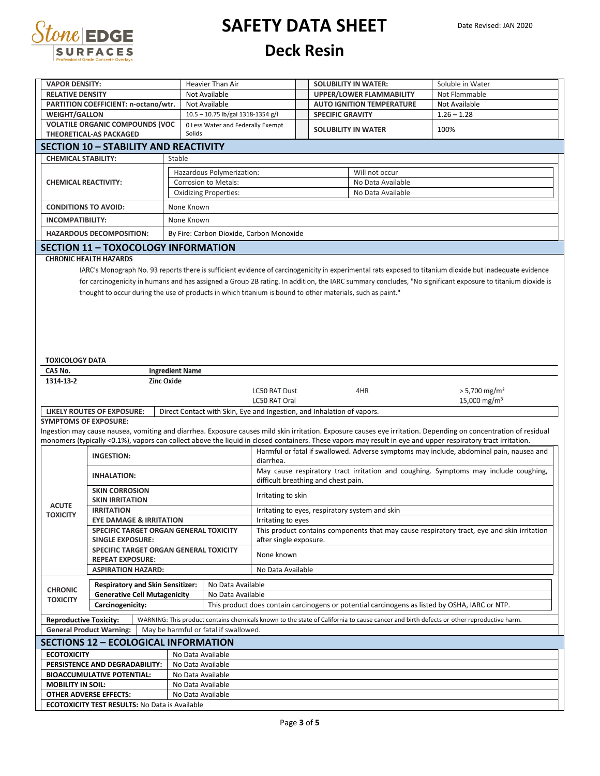

### **SAFETY DATA SHEET Deck Resin**

| <b>VAPOR DENSITY:</b>                                        |                                                                                                            |                                        |                                       |                                                                                     |                         |                                                                     |                                                                                                                                                                 |  |
|--------------------------------------------------------------|------------------------------------------------------------------------------------------------------------|----------------------------------------|---------------------------------------|-------------------------------------------------------------------------------------|-------------------------|---------------------------------------------------------------------|-----------------------------------------------------------------------------------------------------------------------------------------------------------------|--|
|                                                              |                                                                                                            |                                        | Heavier Than Air                      |                                                                                     |                         | <b>SOLUBILITY IN WATER:</b>                                         | Soluble in Water                                                                                                                                                |  |
| <b>RELATIVE DENSITY</b>                                      |                                                                                                            |                                        | Not Available<br>Not Available        |                                                                                     |                         | <b>UPPER/LOWER FLAMMABILITY</b><br><b>AUTO IGNITION TEMPERATURE</b> | Not Flammable<br>Not Available                                                                                                                                  |  |
| PARTITION COEFFICIENT: n-octano/wtr.<br><b>WEIGHT/GALLON</b> |                                                                                                            |                                        | 10.5 - 10.75 lb/gal 1318-1354 g/l     |                                                                                     | <b>SPECIFIC GRAVITY</b> |                                                                     | $1.26 - 1.28$                                                                                                                                                   |  |
| <b>VOLATILE ORGANIC COMPOUNDS (VOC</b>                       |                                                                                                            |                                        | 0 Less Water and Federally Exempt     |                                                                                     |                         |                                                                     |                                                                                                                                                                 |  |
|                                                              | THEORETICAL-AS PACKAGED                                                                                    | Solids                                 |                                       |                                                                                     |                         | <b>SOLUBILITY IN WATER</b>                                          | 100%                                                                                                                                                            |  |
|                                                              | <b>SECTION 10 - STABILITY AND REACTIVITY</b>                                                               |                                        |                                       |                                                                                     |                         |                                                                     |                                                                                                                                                                 |  |
| <b>CHEMICAL STABILITY:</b>                                   |                                                                                                            | Stable                                 |                                       |                                                                                     |                         |                                                                     |                                                                                                                                                                 |  |
|                                                              |                                                                                                            |                                        | Hazardous Polymerization:             |                                                                                     |                         |                                                                     |                                                                                                                                                                 |  |
| <b>CHEMICAL REACTIVITY:</b>                                  |                                                                                                            |                                        | Corrosion to Metals:                  |                                                                                     |                         | Will not occur<br>No Data Available                                 |                                                                                                                                                                 |  |
|                                                              |                                                                                                            |                                        | <b>Oxidizing Properties:</b>          |                                                                                     |                         | No Data Available                                                   |                                                                                                                                                                 |  |
|                                                              |                                                                                                            |                                        |                                       |                                                                                     |                         |                                                                     |                                                                                                                                                                 |  |
| <b>CONDITIONS TO AVOID:</b>                                  |                                                                                                            | None Known                             |                                       |                                                                                     |                         |                                                                     |                                                                                                                                                                 |  |
| <b>INCOMPATIBILITY:</b>                                      |                                                                                                            | None Known                             |                                       |                                                                                     |                         |                                                                     |                                                                                                                                                                 |  |
|                                                              | <b>HAZARDOUS DECOMPOSITION:</b>                                                                            |                                        |                                       | By Fire: Carbon Dioxide, Carbon Monoxide                                            |                         |                                                                     |                                                                                                                                                                 |  |
|                                                              | <b>SECTION 11 - TOXOCOLOGY INFORMATION</b>                                                                 |                                        |                                       |                                                                                     |                         |                                                                     |                                                                                                                                                                 |  |
|                                                              | <b>CHRONIC HEALTH HAZARDS</b>                                                                              |                                        |                                       |                                                                                     |                         |                                                                     |                                                                                                                                                                 |  |
|                                                              |                                                                                                            |                                        |                                       |                                                                                     |                         |                                                                     | IARC's Monograph No. 93 reports there is sufficient evidence of carcinogenicity in experimental rats exposed to titanium dioxide but inadequate evidence        |  |
|                                                              |                                                                                                            |                                        |                                       |                                                                                     |                         |                                                                     | for carcinogenicity in humans and has assigned a Group 2B rating. In addition, the IARC summary concludes, "No significant exposure to titanium dioxide is      |  |
|                                                              | thought to occur during the use of products in which titanium is bound to other materials, such as paint." |                                        |                                       |                                                                                     |                         |                                                                     |                                                                                                                                                                 |  |
|                                                              |                                                                                                            |                                        |                                       |                                                                                     |                         |                                                                     |                                                                                                                                                                 |  |
|                                                              |                                                                                                            |                                        |                                       |                                                                                     |                         |                                                                     |                                                                                                                                                                 |  |
|                                                              |                                                                                                            |                                        |                                       |                                                                                     |                         |                                                                     |                                                                                                                                                                 |  |
|                                                              |                                                                                                            |                                        |                                       |                                                                                     |                         |                                                                     |                                                                                                                                                                 |  |
|                                                              |                                                                                                            |                                        |                                       |                                                                                     |                         |                                                                     |                                                                                                                                                                 |  |
|                                                              |                                                                                                            |                                        |                                       |                                                                                     |                         |                                                                     |                                                                                                                                                                 |  |
| <b>TOXICOLOGY DATA</b>                                       |                                                                                                            |                                        |                                       |                                                                                     |                         |                                                                     |                                                                                                                                                                 |  |
| <b>CAS No.</b><br>1314-13-2                                  | <b>Zinc Oxide</b>                                                                                          | <b>Ingredient Name</b>                 |                                       |                                                                                     |                         |                                                                     |                                                                                                                                                                 |  |
|                                                              |                                                                                                            |                                        |                                       | <b>LC50 RAT Dust</b>                                                                |                         | 4HR                                                                 | $> 5,700$ mg/m <sup>3</sup>                                                                                                                                     |  |
|                                                              |                                                                                                            |                                        |                                       | <b>LC50 RAT Oral</b>                                                                |                         |                                                                     | 15,000 mg/m <sup>3</sup>                                                                                                                                        |  |
|                                                              | <b>LIKELY ROUTES OF EXPOSURE:</b>                                                                          |                                        |                                       | Direct Contact with Skin, Eye and Ingestion, and Inhalation of vapors.              |                         |                                                                     |                                                                                                                                                                 |  |
| <b>SYMPTOMS OF EXPOSURE:</b>                                 |                                                                                                            |                                        |                                       |                                                                                     |                         |                                                                     |                                                                                                                                                                 |  |
|                                                              |                                                                                                            |                                        |                                       |                                                                                     |                         |                                                                     | Ingestion may cause nausea, vomiting and diarrhea. Exposure causes mild skin irritation. Exposure causes eye irritation. Depending on concentration of residual |  |
|                                                              |                                                                                                            |                                        |                                       |                                                                                     |                         |                                                                     | monomers (typically <0.1%), vapors can collect above the liquid in closed containers. These vapors may result in eye and upper respiratory tract irritation.    |  |
|                                                              | <b>INGESTION:</b>                                                                                          |                                        |                                       |                                                                                     |                         |                                                                     | Harmful or fatal if swallowed. Adverse symptoms may include, abdominal pain, nausea and                                                                         |  |
|                                                              |                                                                                                            |                                        |                                       | diarrhea.                                                                           |                         |                                                                     |                                                                                                                                                                 |  |
|                                                              | <b>INHALATION:</b>                                                                                         |                                        |                                       | May cause respiratory tract irritation and coughing. Symptoms may include coughing, |                         |                                                                     |                                                                                                                                                                 |  |
|                                                              |                                                                                                            |                                        | difficult breathing and chest pain.   |                                                                                     |                         |                                                                     |                                                                                                                                                                 |  |
| <b>SKIN CORROSION</b><br><b>SKIN IRRITATION</b>              |                                                                                                            |                                        |                                       |                                                                                     |                         |                                                                     |                                                                                                                                                                 |  |
|                                                              |                                                                                                            |                                        |                                       | Irritating to skin                                                                  |                         |                                                                     |                                                                                                                                                                 |  |
| <b>ACUTE</b>                                                 | <b>IRRITATION</b>                                                                                          |                                        |                                       |                                                                                     |                         |                                                                     |                                                                                                                                                                 |  |
| <b>TOXICITY</b>                                              | <b>EYE DAMAGE &amp; IRRITATION</b>                                                                         |                                        |                                       | Irritating to eyes                                                                  |                         | Irritating to eyes, respiratory system and skin                     |                                                                                                                                                                 |  |
|                                                              | <b>SPECIFIC TARGET ORGAN GENERAL TOXICITY</b>                                                              |                                        |                                       |                                                                                     |                         |                                                                     | This product contains components that may cause respiratory tract, eye and skin irritation                                                                      |  |
|                                                              | <b>SINGLE EXPOSURE:</b>                                                                                    |                                        |                                       | after single exposure.                                                              |                         |                                                                     |                                                                                                                                                                 |  |
|                                                              | SPECIFIC TARGET ORGAN GENERAL TOXICITY                                                                     |                                        |                                       |                                                                                     |                         |                                                                     |                                                                                                                                                                 |  |
|                                                              | <b>REPEAT EXPOSURE:</b>                                                                                    |                                        |                                       | None known                                                                          |                         |                                                                     |                                                                                                                                                                 |  |
|                                                              | <b>ASPIRATION HAZARD:</b>                                                                                  |                                        |                                       | No Data Available                                                                   |                         |                                                                     |                                                                                                                                                                 |  |
|                                                              | <b>Respiratory and Skin Sensitizer:</b>                                                                    |                                        | No Data Available                     |                                                                                     |                         |                                                                     |                                                                                                                                                                 |  |
| <b>CHRONIC</b>                                               | <b>Generative Cell Mutagenicity</b>                                                                        |                                        | No Data Available                     |                                                                                     |                         |                                                                     |                                                                                                                                                                 |  |
| <b>TOXICITY</b>                                              | Carcinogenicity:                                                                                           |                                        |                                       |                                                                                     |                         |                                                                     | This product does contain carcinogens or potential carcinogens as listed by OSHA, IARC or NTP.                                                                  |  |
|                                                              |                                                                                                            |                                        |                                       |                                                                                     |                         |                                                                     |                                                                                                                                                                 |  |
| <b>Reproductive Toxicity:</b>                                | <b>General Product Warning:</b>                                                                            |                                        | May be harmful or fatal if swallowed. |                                                                                     |                         |                                                                     | WARNING: This product contains chemicals known to the state of California to cause cancer and birth defects or other reproductive harm.                         |  |
|                                                              |                                                                                                            |                                        |                                       |                                                                                     |                         |                                                                     |                                                                                                                                                                 |  |
|                                                              | <b>SECTIONS 12 - ECOLOGICAL INFORMATION</b>                                                                |                                        |                                       |                                                                                     |                         |                                                                     |                                                                                                                                                                 |  |
| <b>ECOTOXICITY</b>                                           |                                                                                                            | No Data Available                      |                                       |                                                                                     |                         |                                                                     |                                                                                                                                                                 |  |
|                                                              | PERSISTENCE AND DEGRADABILITY:                                                                             | No Data Available                      |                                       |                                                                                     |                         |                                                                     |                                                                                                                                                                 |  |
|                                                              | <b>BIOACCUMULATIVE POTENTIAL:</b>                                                                          | No Data Available                      |                                       |                                                                                     |                         |                                                                     |                                                                                                                                                                 |  |
| <b>MOBILITY IN SOIL:</b>                                     | <b>OTHER ADVERSE EFFECTS:</b>                                                                              | No Data Available<br>No Data Available |                                       |                                                                                     |                         |                                                                     |                                                                                                                                                                 |  |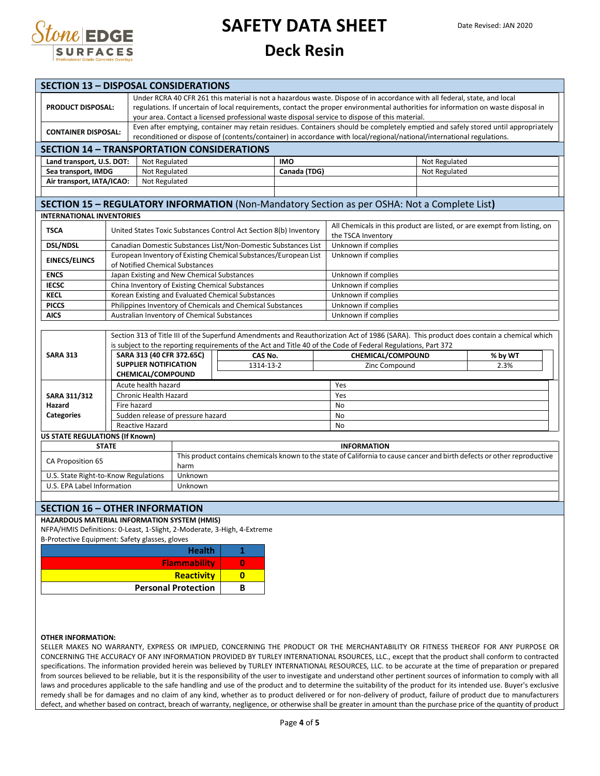

**SECTION 13 – DISPOSAL CONSIDERATIONS**

## **SAFETY DATA SHEET**

#### **Deck Resin**

|                       | SECTION 13 - DISPOSAL CONSIDERATIONS                                                                                      |                                                                                                                                                                                                                                                                                                                                                                   |                                                           |                                                                                                                                                                                                                                                             |                                                                   |              |                                                                                                                                                                                                                                                                                                |               |                 |  |
|-----------------------|---------------------------------------------------------------------------------------------------------------------------|-------------------------------------------------------------------------------------------------------------------------------------------------------------------------------------------------------------------------------------------------------------------------------------------------------------------------------------------------------------------|-----------------------------------------------------------|-------------------------------------------------------------------------------------------------------------------------------------------------------------------------------------------------------------------------------------------------------------|-------------------------------------------------------------------|--------------|------------------------------------------------------------------------------------------------------------------------------------------------------------------------------------------------------------------------------------------------------------------------------------------------|---------------|-----------------|--|
|                       | <b>PRODUCT DISPOSAL:</b>                                                                                                  | Under RCRA 40 CFR 261 this material is not a hazardous waste. Dispose of in accordance with all federal, state, and local<br>regulations. If uncertain of local requirements, contact the proper environmental authorities for information on waste disposal in<br>your area. Contact a licensed professional waste disposal service to dispose of this material. |                                                           |                                                                                                                                                                                                                                                             |                                                                   |              |                                                                                                                                                                                                                                                                                                |               |                 |  |
|                       | <b>CONTAINER DISPOSAL:</b>                                                                                                |                                                                                                                                                                                                                                                                                                                                                                   |                                                           | Even after emptying, container may retain residues. Containers should be completely emptied and safely stored until appropriately<br>reconditioned or dispose of (contents/container) in accordance with local/regional/national/international regulations. |                                                                   |              |                                                                                                                                                                                                                                                                                                |               |                 |  |
|                       | <b>SECTION 14 - TRANSPORTATION CONSIDERATIONS</b>                                                                         |                                                                                                                                                                                                                                                                                                                                                                   |                                                           |                                                                                                                                                                                                                                                             |                                                                   |              |                                                                                                                                                                                                                                                                                                |               |                 |  |
|                       | Land transport, U.S. DOT:                                                                                                 |                                                                                                                                                                                                                                                                                                                                                                   | Not Regulated                                             |                                                                                                                                                                                                                                                             |                                                                   | <b>IMO</b>   |                                                                                                                                                                                                                                                                                                | Not Regulated |                 |  |
|                       | Sea transport, IMDG                                                                                                       |                                                                                                                                                                                                                                                                                                                                                                   | Not Regulated                                             |                                                                                                                                                                                                                                                             |                                                                   | Canada (TDG) |                                                                                                                                                                                                                                                                                                |               | Not Regulated   |  |
|                       | Air transport, IATA/ICAO:                                                                                                 |                                                                                                                                                                                                                                                                                                                                                                   | Not Regulated                                             |                                                                                                                                                                                                                                                             |                                                                   |              |                                                                                                                                                                                                                                                                                                |               |                 |  |
|                       |                                                                                                                           |                                                                                                                                                                                                                                                                                                                                                                   |                                                           |                                                                                                                                                                                                                                                             |                                                                   |              |                                                                                                                                                                                                                                                                                                |               |                 |  |
|                       |                                                                                                                           |                                                                                                                                                                                                                                                                                                                                                                   |                                                           |                                                                                                                                                                                                                                                             |                                                                   |              | SECTION 15 - REGULATORY INFORMATION (Non-Mandatory Section as per OSHA: Not a Complete List)                                                                                                                                                                                                   |               |                 |  |
|                       | <b>INTERNATIONAL INVENTORIES</b>                                                                                          |                                                                                                                                                                                                                                                                                                                                                                   |                                                           |                                                                                                                                                                                                                                                             |                                                                   |              |                                                                                                                                                                                                                                                                                                |               |                 |  |
|                       | <b>TSCA</b>                                                                                                               |                                                                                                                                                                                                                                                                                                                                                                   |                                                           |                                                                                                                                                                                                                                                             | United States Toxic Substances Control Act Section 8(b) Inventory |              | All Chemicals in this product are listed, or are exempt from listing, on                                                                                                                                                                                                                       |               |                 |  |
|                       |                                                                                                                           |                                                                                                                                                                                                                                                                                                                                                                   |                                                           |                                                                                                                                                                                                                                                             |                                                                   |              | the TSCA Inventory                                                                                                                                                                                                                                                                             |               |                 |  |
|                       | <b>DSL/NDSL</b>                                                                                                           |                                                                                                                                                                                                                                                                                                                                                                   |                                                           |                                                                                                                                                                                                                                                             | Canadian Domestic Substances List/Non-Domestic Substances List    |              | Unknown if complies                                                                                                                                                                                                                                                                            |               |                 |  |
|                       | <b>EINECS/ELINCS</b>                                                                                                      |                                                                                                                                                                                                                                                                                                                                                                   |                                                           | of Notified Chemical Substances                                                                                                                                                                                                                             | European Inventory of Existing Chemical Substances/European List  |              | Unknown if complies                                                                                                                                                                                                                                                                            |               |                 |  |
|                       | <b>ENCS</b>                                                                                                               |                                                                                                                                                                                                                                                                                                                                                                   |                                                           | Japan Existing and New Chemical Substances                                                                                                                                                                                                                  |                                                                   |              | Unknown if complies                                                                                                                                                                                                                                                                            |               |                 |  |
|                       | <b>IECSC</b>                                                                                                              |                                                                                                                                                                                                                                                                                                                                                                   |                                                           |                                                                                                                                                                                                                                                             | China Inventory of Existing Chemical Substances                   |              | Unknown if complies                                                                                                                                                                                                                                                                            |               |                 |  |
|                       | <b>KECL</b>                                                                                                               |                                                                                                                                                                                                                                                                                                                                                                   |                                                           | Korean Existing and Evaluated Chemical Substances                                                                                                                                                                                                           |                                                                   |              | Unknown if complies                                                                                                                                                                                                                                                                            |               |                 |  |
|                       | <b>PICCS</b>                                                                                                              |                                                                                                                                                                                                                                                                                                                                                                   |                                                           |                                                                                                                                                                                                                                                             | Philippines Inventory of Chemicals and Chemical Substances        |              | Unknown if complies                                                                                                                                                                                                                                                                            |               |                 |  |
|                       | <b>AICS</b>                                                                                                               |                                                                                                                                                                                                                                                                                                                                                                   |                                                           | Australian Inventory of Chemical Substances                                                                                                                                                                                                                 |                                                                   |              | Unknown if complies                                                                                                                                                                                                                                                                            |               |                 |  |
|                       | <b>SARA 313</b>                                                                                                           |                                                                                                                                                                                                                                                                                                                                                                   | SARA 313 (40 CFR 372.65C)<br><b>SUPPLIER NOTIFICATION</b> |                                                                                                                                                                                                                                                             | CAS No.<br>1314-13-2                                              |              | Section 313 of Title III of the Superfund Amendments and Reauthorization Act of 1986 (SARA). This product does contain a chemical which<br>is subject to the reporting requirements of the Act and Title 40 of the Code of Federal Regulations, Part 372<br>CHEMICAL/COMPOUND<br>Zinc Compound |               | % by WT<br>2.3% |  |
|                       |                                                                                                                           |                                                                                                                                                                                                                                                                                                                                                                   | CHEMICAL/COMPOUND                                         |                                                                                                                                                                                                                                                             |                                                                   |              |                                                                                                                                                                                                                                                                                                |               |                 |  |
|                       |                                                                                                                           |                                                                                                                                                                                                                                                                                                                                                                   | Acute health hazard                                       |                                                                                                                                                                                                                                                             |                                                                   |              | Yes                                                                                                                                                                                                                                                                                            |               |                 |  |
|                       | SARA 311/312                                                                                                              |                                                                                                                                                                                                                                                                                                                                                                   | Chronic Health Hazard                                     |                                                                                                                                                                                                                                                             |                                                                   |              |                                                                                                                                                                                                                                                                                                |               |                 |  |
| Fire hazard<br>Hazard |                                                                                                                           |                                                                                                                                                                                                                                                                                                                                                                   |                                                           |                                                                                                                                                                                                                                                             |                                                                   |              | <b>No</b>                                                                                                                                                                                                                                                                                      |               |                 |  |
| <b>Categories</b>     |                                                                                                                           |                                                                                                                                                                                                                                                                                                                                                                   |                                                           | Sudden release of pressure hazard                                                                                                                                                                                                                           |                                                                   |              | <b>No</b>                                                                                                                                                                                                                                                                                      |               |                 |  |
|                       |                                                                                                                           |                                                                                                                                                                                                                                                                                                                                                                   | <b>Reactive Hazard</b>                                    |                                                                                                                                                                                                                                                             | No                                                                |              |                                                                                                                                                                                                                                                                                                |               |                 |  |
|                       | <b>US STATE REGULATIONS (If Known)</b>                                                                                    |                                                                                                                                                                                                                                                                                                                                                                   |                                                           |                                                                                                                                                                                                                                                             |                                                                   |              |                                                                                                                                                                                                                                                                                                |               |                 |  |
|                       | <b>STATE</b>                                                                                                              |                                                                                                                                                                                                                                                                                                                                                                   |                                                           | <b>INFORMATION</b>                                                                                                                                                                                                                                          |                                                                   |              |                                                                                                                                                                                                                                                                                                |               |                 |  |
| CA Proposition 65     |                                                                                                                           |                                                                                                                                                                                                                                                                                                                                                                   |                                                           | This product contains chemicals known to the state of California to cause cancer and birth defects or other reproductive<br>harm                                                                                                                            |                                                                   |              |                                                                                                                                                                                                                                                                                                |               |                 |  |
|                       | U.S. State Right-to-Know Regulations                                                                                      |                                                                                                                                                                                                                                                                                                                                                                   |                                                           | Unknown                                                                                                                                                                                                                                                     |                                                                   |              |                                                                                                                                                                                                                                                                                                |               |                 |  |
|                       | U.S. EPA Label Information                                                                                                |                                                                                                                                                                                                                                                                                                                                                                   |                                                           | Unknown                                                                                                                                                                                                                                                     |                                                                   |              |                                                                                                                                                                                                                                                                                                |               |                 |  |
|                       |                                                                                                                           |                                                                                                                                                                                                                                                                                                                                                                   |                                                           |                                                                                                                                                                                                                                                             |                                                                   |              |                                                                                                                                                                                                                                                                                                |               |                 |  |
|                       | <b>SECTION 16 - OTHER INFORMATION</b>                                                                                     |                                                                                                                                                                                                                                                                                                                                                                   |                                                           |                                                                                                                                                                                                                                                             |                                                                   |              |                                                                                                                                                                                                                                                                                                |               |                 |  |
|                       | HAZARDOUS MATERIAL INFORMATION SYSTEM (HMIS)                                                                              |                                                                                                                                                                                                                                                                                                                                                                   |                                                           |                                                                                                                                                                                                                                                             |                                                                   |              |                                                                                                                                                                                                                                                                                                |               |                 |  |
|                       | NFPA/HMIS Definitions: 0-Least, 1-Slight, 2-Moderate, 3-High, 4-Extreme<br>B-Protective Equipment: Safety glasses, gloves |                                                                                                                                                                                                                                                                                                                                                                   |                                                           |                                                                                                                                                                                                                                                             |                                                                   |              |                                                                                                                                                                                                                                                                                                |               |                 |  |
|                       |                                                                                                                           |                                                                                                                                                                                                                                                                                                                                                                   |                                                           |                                                                                                                                                                                                                                                             |                                                                   |              |                                                                                                                                                                                                                                                                                                |               |                 |  |

| <b>Health</b>              |  |
|----------------------------|--|
| <b>Flammability</b>        |  |
| <b>Reactivity</b>          |  |
| <b>Personal Protection</b> |  |

#### **OTHER INFORMATION:**

SELLER MAKES NO WARRANTY, EXPRESS OR IMPLIED, CONCERNING THE PRODUCT OR THE MERCHANTABILITY OR FITNESS THEREOF FOR ANY PURPOSE OR CONCERNING THE ACCURACY OF ANY INFORMATION PROVIDED BY TURLEY INTERNATIONAL RSOURCES, LLC., except that the product shall conform to contracted specifications. The information provided herein was believed by TURLEY INTERNATIONAL RESOURCES, LLC. to be accurate at the time of preparation or prepared from sources believed to be reliable, but it is the responsibility of the user to investigate and understand other pertinent sources of information to comply with all laws and procedures applicable to the safe handling and use of the product and to determine the suitability of the product for its intended use. Buyer's exclusive remedy shall be for damages and no claim of any kind, whether as to product delivered or for non-delivery of product, failure of product due to manufacturers defect, and whether based on contract, breach of warranty, negligence, or otherwise shall be greater in amount than the purchase price of the quantity of product